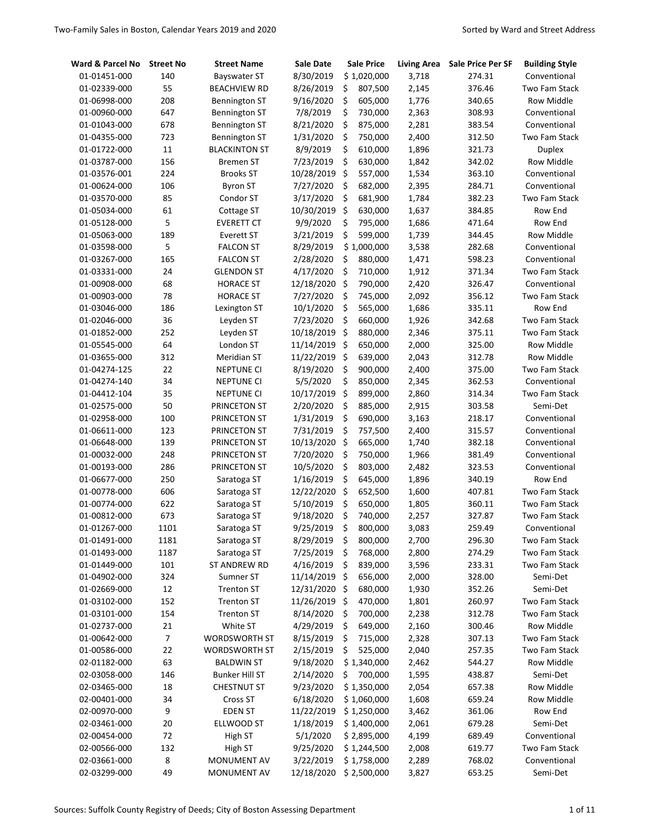| Ward & Parcel No | <b>Street No</b> | <b>Street Name</b>    | Sale Date     | <b>Sale Price</b> | <b>Living Area</b> | Sale Price Per SF | <b>Building Style</b> |
|------------------|------------------|-----------------------|---------------|-------------------|--------------------|-------------------|-----------------------|
| 01-01451-000     | 140              | <b>Bayswater ST</b>   | 8/30/2019     | \$1,020,000       | 3,718              | 274.31            | Conventional          |
| 01-02339-000     | 55               | <b>BEACHVIEW RD</b>   | 8/26/2019     | \$<br>807,500     | 2,145              | 376.46            | Two Fam Stack         |
| 01-06998-000     | 208              | <b>Bennington ST</b>  | 9/16/2020     | \$<br>605,000     | 1,776              | 340.65            | Row Middle            |
| 01-00960-000     | 647              | Bennington ST         | 7/8/2019      | \$<br>730,000     | 2,363              | 308.93            | Conventional          |
| 01-01043-000     | 678              | Bennington ST         | 8/21/2020     | \$<br>875,000     | 2,281              | 383.54            | Conventional          |
| 01-04355-000     | 723              | Bennington ST         | 1/31/2020     | \$<br>750,000     | 2,400              | 312.50            | Two Fam Stack         |
| 01-01722-000     | $11\,$           | <b>BLACKINTON ST</b>  | 8/9/2019      | \$<br>610,000     | 1,896              | 321.73            | <b>Duplex</b>         |
| 01-03787-000     | 156              | Bremen ST             | 7/23/2019     | \$<br>630,000     | 1,842              | 342.02            | Row Middle            |
| 01-03576-001     | 224              | <b>Brooks ST</b>      | 10/28/2019    | \$<br>557,000     | 1,534              | 363.10            | Conventional          |
| 01-00624-000     | 106              | Byron ST              | 7/27/2020     | \$<br>682,000     | 2,395              | 284.71            | Conventional          |
| 01-03570-000     | 85               | Condor ST             | 3/17/2020     | \$<br>681,900     | 1,784              | 382.23            | Two Fam Stack         |
| 01-05034-000     | 61               | Cottage ST            | 10/30/2019    | \$<br>630,000     | 1,637              | 384.85            | Row End               |
| 01-05128-000     | 5                | <b>EVERETT CT</b>     | 9/9/2020      | \$<br>795,000     | 1,686              | 471.64            | Row End               |
| 01-05063-000     | 189              | Everett ST            | 3/21/2019     | \$<br>599,000     | 1,739              | 344.45            | Row Middle            |
| 01-03598-000     | 5                | <b>FALCON ST</b>      | 8/29/2019     | \$1,000,000       | 3,538              | 282.68            | Conventional          |
| 01-03267-000     | 165              | <b>FALCON ST</b>      | 2/28/2020     | \$<br>880,000     | 1,471              | 598.23            | Conventional          |
| 01-03331-000     | 24               | GLENDON ST            | 4/17/2020     | \$<br>710,000     | 1,912              | 371.34            | Two Fam Stack         |
| 01-00908-000     | 68               | <b>HORACE ST</b>      | 12/18/2020    | \$<br>790,000     | 2,420              | 326.47            | Conventional          |
| 01-00903-000     | 78               | <b>HORACE ST</b>      | 7/27/2020     | \$<br>745,000     | 2,092              | 356.12            | Two Fam Stack         |
| 01-03046-000     | 186              | Lexington ST          | 10/1/2020     | \$<br>565,000     | 1,686              | 335.11            | Row End               |
| 01-02046-000     | 36               | Leyden ST             | 7/23/2020     | \$<br>660,000     | 1,926              | 342.68            | Two Fam Stack         |
| 01-01852-000     | 252              | Leyden ST             | 10/18/2019    | \$<br>880,000     | 2,346              | 375.11            | Two Fam Stack         |
| 01-05545-000     | 64               | London ST             | 11/14/2019    | \$<br>650,000     | 2,000              | 325.00            | Row Middle            |
| 01-03655-000     | 312              | Meridian ST           | 11/22/2019    | \$<br>639,000     | 2,043              | 312.78            | Row Middle            |
| 01-04274-125     | 22               | NEPTUNE CI            | 8/19/2020     | \$<br>900,000     | 2,400              | 375.00            | Two Fam Stack         |
| 01-04274-140     | 34               | <b>NEPTUNE CI</b>     | 5/5/2020      | \$<br>850,000     | 2,345              | 362.53            | Conventional          |
| 01-04412-104     | 35               | <b>NEPTUNE CI</b>     | 10/17/2019    | \$<br>899,000     | 2,860              | 314.34            | Two Fam Stack         |
| 01-02575-000     | 50               | PRINCETON ST          | 2/20/2020     | \$<br>885,000     | 2,915              | 303.58            | Semi-Det              |
| 01-02958-000     | 100              | PRINCETON ST          | 1/31/2019     | \$<br>690,000     | 3,163              | 218.17            | Conventional          |
| 01-06611-000     | 123              | PRINCETON ST          | 7/31/2019     | \$<br>757,500     | 2,400              | 315.57            | Conventional          |
| 01-06648-000     | 139              | PRINCETON ST          | 10/13/2020    | \$<br>665,000     | 1,740              | 382.18            | Conventional          |
| 01-00032-000     | 248              | PRINCETON ST          | 7/20/2020     | \$<br>750,000     | 1,966              | 381.49            | Conventional          |
| 01-00193-000     | 286              | PRINCETON ST          | 10/5/2020     | \$<br>803,000     | 2,482              | 323.53            | Conventional          |
| 01-06677-000     | 250              | Saratoga ST           | 1/16/2019     | \$<br>645,000     | 1,896              | 340.19            | Row End               |
| 01-00778-000     | 606              | Saratoga ST           | 12/22/2020    | \$<br>652,500     | 1,600              | 407.81            | Two Fam Stack         |
| 01-00774-000     | 622              | Saratoga ST           | 5/10/2019     | \$<br>650,000     | 1,805              | 360.11            | Two Fam Stack         |
| 01-00812-000     | 673              | Saratoga ST           | 9/18/2020     | \$<br>740,000     | 2,257              | 327.87            | Two Fam Stack         |
| 01-01267-000     | 1101             | Saratoga ST           | 9/25/2019     | Ś<br>800,000      | 3,083              | 259.49            | Conventional          |
| 01-01491-000     | 1181             | Saratoga ST           | 8/29/2019     | \$<br>800,000     | 2,700              | 296.30            | Two Fam Stack         |
| 01-01493-000     | 1187             | Saratoga ST           | 7/25/2019     | \$<br>768,000     | 2,800              | 274.29            | Two Fam Stack         |
| 01-01449-000     | 101              | ST ANDREW RD          | 4/16/2019     | \$<br>839,000     | 3,596              | 233.31            | Two Fam Stack         |
| 01-04902-000     | 324              | Sumner ST             | 11/14/2019 \$ | 656,000           | 2,000              | 328.00            | Semi-Det              |
| 01-02669-000     | 12               | <b>Trenton ST</b>     | 12/31/2020 \$ | 680,000           | 1,930              | 352.26            | Semi-Det              |
| 01-03102-000     | 152              | <b>Trenton ST</b>     | 11/26/2019    | \$<br>470,000     | 1,801              | 260.97            | Two Fam Stack         |
| 01-03101-000     | 154              | <b>Trenton ST</b>     | 8/14/2020     | \$<br>700,000     | 2,238              | 312.78            | Two Fam Stack         |
| 01-02737-000     | 21               | White ST              | 4/29/2019     | \$<br>649,000     | 2,160              | 300.46            | Row Middle            |
| 01-00642-000     | 7                | WORDSWORTH ST         | 8/15/2019     | \$<br>715,000     | 2,328              | 307.13            | Two Fam Stack         |
| 01-00586-000     | 22               | <b>WORDSWORTH ST</b>  | 2/15/2019     | \$<br>525,000     | 2,040              | 257.35            | Two Fam Stack         |
| 02-01182-000     | 63               | <b>BALDWIN ST</b>     | 9/18/2020     | \$1,340,000       | 2,462              | 544.27            | Row Middle            |
| 02-03058-000     | 146              | <b>Bunker Hill ST</b> | 2/14/2020     | \$<br>700,000     | 1,595              | 438.87            | Semi-Det              |
| 02-03465-000     | 18               | <b>CHESTNUT ST</b>    | 9/23/2020     | \$1,350,000       | 2,054              | 657.38            | Row Middle            |
| 02-00401-000     | 34               | Cross ST              | 6/18/2020     | \$1,060,000       | 1,608              | 659.24            | Row Middle            |
| 02-00970-000     | 9                | <b>EDEN ST</b>        | 11/22/2019    | \$1,250,000       | 3,462              | 361.06            | Row End               |
| 02-03461-000     | 20               | ELLWOOD ST            | 1/18/2019     | \$1,400,000       | 2,061              | 679.28            | Semi-Det              |
| 02-00454-000     | 72               | High ST               | 5/1/2020      | \$2,895,000       | 4,199              | 689.49            | Conventional          |
| 02-00566-000     | 132              | High ST               | 9/25/2020     | \$1,244,500       | 2,008              | 619.77            | Two Fam Stack         |
| 02-03661-000     | 8                | MONUMENT AV           | 3/22/2019     | \$1,758,000       | 2,289              | 768.02            | Conventional          |
| 02-03299-000     | 49               | MONUMENT AV           | 12/18/2020    | \$2,500,000       | 3,827              | 653.25            | Semi-Det              |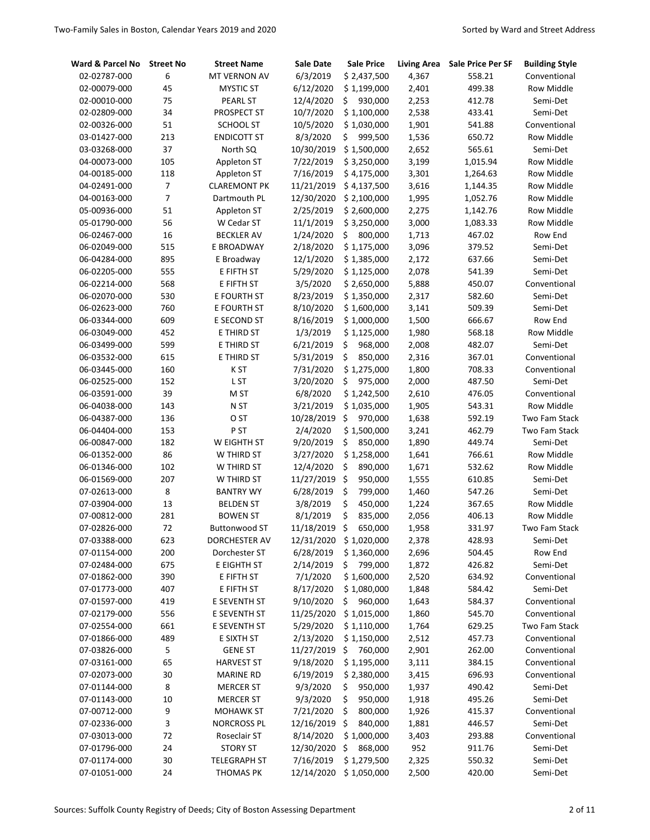| Ward & Parcel No | <b>Street No</b> | <b>Street Name</b>   | Sale Date  | <b>Sale Price</b>      | <b>Living Area</b> | Sale Price Per SF | <b>Building Style</b> |
|------------------|------------------|----------------------|------------|------------------------|--------------------|-------------------|-----------------------|
| 02-02787-000     | 6                | MT VERNON AV         | 6/3/2019   | \$2,437,500            | 4,367              | 558.21            | Conventional          |
| 02-00079-000     | 45               | <b>MYSTIC ST</b>     | 6/12/2020  | \$1,199,000            | 2,401              | 499.38            | Row Middle            |
| 02-00010-000     | 75               | <b>PEARL ST</b>      | 12/4/2020  | \$<br>930,000          | 2,253              | 412.78            | Semi-Det              |
| 02-02809-000     | 34               | PROSPECT ST          | 10/7/2020  | \$1,100,000            | 2,538              | 433.41            | Semi-Det              |
| 02-00326-000     | 51               | SCHOOL ST            | 10/5/2020  | \$1,030,000            | 1,901              | 541.88            | Conventional          |
| 03-01427-000     | 213              | <b>ENDICOTT ST</b>   | 8/3/2020   | \$<br>999,500          | 1,536              | 650.72            | Row Middle            |
| 03-03268-000     | 37               | North SQ             | 10/30/2019 | \$1,500,000            | 2,652              | 565.61            | Semi-Det              |
| 04-00073-000     | 105              | Appleton ST          | 7/22/2019  | \$3,250,000            | 3,199              | 1,015.94          | <b>Row Middle</b>     |
| 04-00185-000     | 118              | Appleton ST          | 7/16/2019  | \$4,175,000            | 3,301              | 1,264.63          | <b>Row Middle</b>     |
| 04-02491-000     | 7                | <b>CLAREMONT PK</b>  | 11/21/2019 | \$4,137,500            | 3,616              | 1,144.35          | <b>Row Middle</b>     |
| 04-00163-000     | 7                | Dartmouth PL         | 12/30/2020 | \$2,100,000            | 1,995              | 1,052.76          | Row Middle            |
| 05-00936-000     | 51               | Appleton ST          | 2/25/2019  | \$2,600,000            | 2,275              | 1,142.76          | <b>Row Middle</b>     |
| 05-01790-000     | 56               | W Cedar ST           | 11/1/2019  | \$3,250,000            | 3,000              | 1,083.33          | Row Middle            |
| 06-02467-000     | 16               | <b>BECKLER AV</b>    | 1/24/2020  | \$<br>800,000          | 1,713              | 467.02            | Row End               |
| 06-02049-000     | 515              | E BROADWAY           | 2/18/2020  | \$1,175,000            | 3,096              | 379.52            | Semi-Det              |
| 06-04284-000     | 895              | E Broadway           | 12/1/2020  | \$1,385,000            | 2,172              | 637.66            | Semi-Det              |
| 06-02205-000     | 555              | E FIFTH ST           | 5/29/2020  | \$1,125,000            | 2,078              | 541.39            | Semi-Det              |
| 06-02214-000     | 568              | E FIFTH ST           | 3/5/2020   | \$2,650,000            | 5,888              | 450.07            | Conventional          |
| 06-02070-000     | 530              | E FOURTH ST          | 8/23/2019  | \$1,350,000            | 2,317              | 582.60            | Semi-Det              |
| 06-02623-000     | 760              | E FOURTH ST          | 8/10/2020  | \$1,600,000            | 3,141              | 509.39            | Semi-Det              |
| 06-03344-000     | 609              | E SECOND ST          | 8/16/2019  | \$1,000,000            | 1,500              | 666.67            | Row End               |
| 06-03049-000     | 452              | E THIRD ST           | 1/3/2019   | \$1,125,000            | 1,980              | 568.18            | Row Middle            |
| 06-03499-000     | 599              | E THIRD ST           | 6/21/2019  | \$<br>968,000          | 2,008              | 482.07            | Semi-Det              |
| 06-03532-000     | 615              | E THIRD ST           | 5/31/2019  | \$<br>850,000          | 2,316              | 367.01            | Conventional          |
| 06-03445-000     | 160              | K ST                 | 7/31/2020  | \$1,275,000            | 1,800              | 708.33            | Conventional          |
| 06-02525-000     | 152              | L ST                 | 3/20/2020  | \$<br>975,000          | 2,000              | 487.50            | Semi-Det              |
| 06-03591-000     | 39               | M <sub>ST</sub>      | 6/8/2020   | \$1,242,500            | 2,610              | 476.05            | Conventional          |
| 06-04038-000     | 143              | N <sub>ST</sub>      | 3/21/2019  | \$1,035,000            | 1,905              | 543.31            | Row Middle            |
| 06-04387-000     | 136              | O ST                 | 10/28/2019 | \$<br>970,000          | 1,638              | 592.19            | Two Fam Stack         |
| 06-04404-000     | 153              | P <sub>ST</sub>      | 2/4/2020   | \$1,500,000            | 3,241              | 462.79            | Two Fam Stack         |
| 06-00847-000     | 182              | W EIGHTH ST          | 9/20/2019  | \$<br>850,000          | 1,890              | 449.74            | Semi-Det              |
| 06-01352-000     | 86               | W THIRD ST           | 3/27/2020  | \$1,258,000            | 1,641              | 766.61            | Row Middle            |
| 06-01346-000     | 102              | W THIRD ST           | 12/4/2020  | \$<br>890,000          | 1,671              | 532.62            | Row Middle            |
| 06-01569-000     | 207              | W THIRD ST           | 11/27/2019 | $\zeta$<br>950,000     | 1,555              | 610.85            | Semi-Det              |
| 07-02613-000     | 8                | <b>BANTRY WY</b>     | 6/28/2019  | \$<br>799,000          | 1,460              | 547.26            | Semi-Det              |
| 07-03904-000     | 13               | <b>BELDEN ST</b>     | 3/8/2019   | \$<br>450,000          | 1,224              | 367.65            | Row Middle            |
| 07-00812-000     | 281              | <b>BOWEN ST</b>      | 8/1/2019   | \$<br>835,000          | 2,056              | 406.13            | Row Middle            |
| 07-02826-000     | 72               | <b>Buttonwood ST</b> | 11/18/2019 | \$<br>650,000          | 1,958              | 331.97            | Two Fam Stack         |
| 07-03388-000     | 623              | DORCHESTER AV        | 12/31/2020 | \$1,020,000            | 2,378              | 428.93            | Semi-Det              |
| 07-01154-000     | 200              | Dorchester ST        | 6/28/2019  | \$1,360,000            | 2,696              | 504.45            | Row End               |
| 07-02484-000     | 675              | E EIGHTH ST          | 2/14/2019  | 799,000<br>\$          | 1,872              | 426.82            | Semi-Det              |
| 07-01862-000     | 390              | E FIFTH ST           | 7/1/2020   | \$1,600,000            | 2,520              | 634.92            | Conventional          |
| 07-01773-000     | 407              | E FIFTH ST           | 8/17/2020  | \$1,080,000            | 1,848              | 584.42            | Semi-Det              |
| 07-01597-000     | 419              | E SEVENTH ST         | 9/10/2020  | \$960,000              | 1,643              | 584.37            | Conventional          |
| 07-02179-000     | 556              | E SEVENTH ST         | 11/25/2020 | \$1,015,000            | 1,860              | 545.70            | Conventional          |
| 07-02554-000     | 661              | E SEVENTH ST         | 5/29/2020  | \$1,110,000            | 1,764              | 629.25            | Two Fam Stack         |
| 07-01866-000     | 489              | E SIXTH ST           | 2/13/2020  | \$1,150,000            | 2,512              | 457.73            | Conventional          |
| 07-03826-000     | 5                | <b>GENE ST</b>       | 11/27/2019 | \$<br>760,000          | 2,901              | 262.00            | Conventional          |
| 07-03161-000     | 65               | <b>HARVEST ST</b>    | 9/18/2020  | \$1,195,000            | 3,111              | 384.15            | Conventional          |
| 07-02073-000     | 30               | <b>MARINE RD</b>     | 6/19/2019  | \$2,380,000            | 3,415              | 696.93            | Conventional          |
| 07-01144-000     | 8                | <b>MERCER ST</b>     | 9/3/2020   | \$<br>950,000          | 1,937              | 490.42            | Semi-Det              |
| 07-01143-000     | 10               | <b>MERCER ST</b>     | 9/3/2020   | \$<br>950,000          | 1,918              | 495.26            | Semi-Det              |
| 07-00712-000     | 9                | <b>MOHAWK ST</b>     | 7/21/2020  | \$<br>800,000          | 1,926              | 415.37            | Conventional          |
| 07-02336-000     | 3                | NORCROSS PL          | 12/16/2019 | \$<br>840,000          | 1,881              | 446.57            | Semi-Det              |
| 07-03013-000     | 72               | Roseclair ST         | 8/14/2020  | \$1,000,000            | 3,403              | 293.88            | Conventional          |
| 07-01796-000     | 24               | <b>STORY ST</b>      | 12/30/2020 | \$<br>868,000          | 952                | 911.76            | Semi-Det              |
| 07-01174-000     | 30               | <b>TELEGRAPH ST</b>  | 7/16/2019  | \$1,279,500            | 2,325              | 550.32            | Semi-Det              |
| 07-01051-000     | 24               | <b>THOMAS PK</b>     |            | 12/14/2020 \$1,050,000 | 2,500              | 420.00            | Semi-Det              |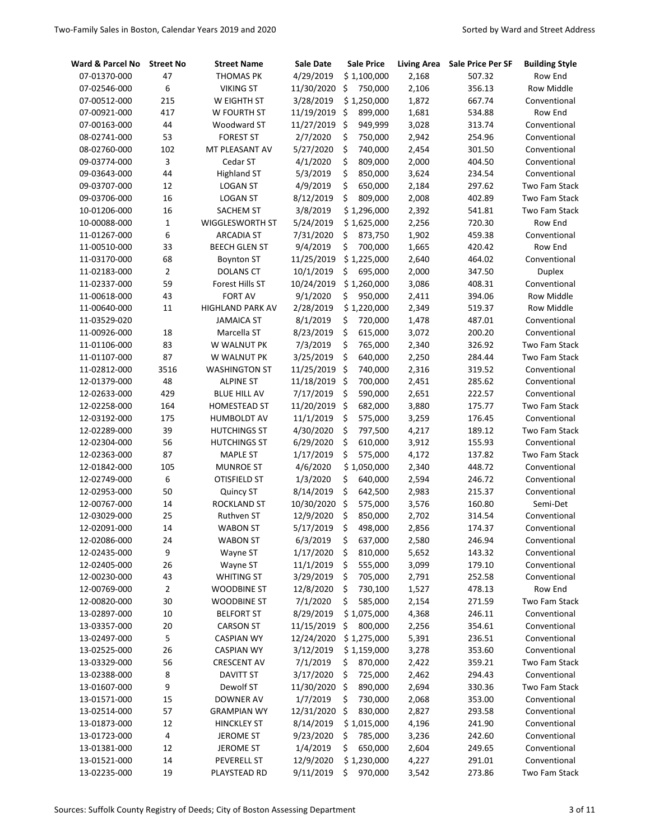| Ward & Parcel No | <b>Street No</b> | <b>Street Name</b>      | Sale Date  | <b>Sale Price</b> | <b>Living Area</b> | <b>Sale Price Per SF</b> | <b>Building Style</b> |
|------------------|------------------|-------------------------|------------|-------------------|--------------------|--------------------------|-----------------------|
| 07-01370-000     | 47               | <b>THOMAS PK</b>        | 4/29/2019  | \$1,100,000       | 2,168              | 507.32                   | Row End               |
| 07-02546-000     | 6                | <b>VIKING ST</b>        | 11/30/2020 | \$<br>750,000     | 2,106              | 356.13                   | <b>Row Middle</b>     |
| 07-00512-000     | 215              | W EIGHTH ST             | 3/28/2019  | \$1,250,000       | 1,872              | 667.74                   | Conventional          |
| 07-00921-000     | 417              | W FOURTH ST             | 11/19/2019 | \$<br>899,000     | 1,681              | 534.88                   | Row End               |
| 07-00163-000     | 44               | Woodward ST             | 11/27/2019 | \$<br>949,999     | 3,028              | 313.74                   | Conventional          |
| 08-02741-000     | 53               | <b>FOREST ST</b>        | 2/7/2020   | \$<br>750,000     | 2,942              | 254.96                   | Conventional          |
| 08-02760-000     | 102              | MT PLEASANT AV          | 5/27/2020  | \$<br>740,000     | 2,454              | 301.50                   | Conventional          |
| 09-03774-000     | 3                | Cedar ST                | 4/1/2020   | \$<br>809,000     | 2,000              | 404.50                   | Conventional          |
| 09-03643-000     | 44               | <b>Highland ST</b>      | 5/3/2019   | \$<br>850,000     | 3,624              | 234.54                   | Conventional          |
| 09-03707-000     | 12               | <b>LOGAN ST</b>         | 4/9/2019   | \$<br>650,000     | 2,184              | 297.62                   | <b>Two Fam Stack</b>  |
| 09-03706-000     | 16               | <b>LOGAN ST</b>         | 8/12/2019  | \$<br>809,000     | 2,008              | 402.89                   | Two Fam Stack         |
| 10-01206-000     | 16               | SACHEM ST               | 3/8/2019   | \$1,296,000       | 2,392              | 541.81                   | Two Fam Stack         |
| 10-00088-000     | $\mathbf{1}$     | WIGGLESWORTH ST         | 5/24/2019  | \$1,625,000       | 2,256              | 720.30                   | Row End               |
| 11-01267-000     | 6                | <b>ARCADIA ST</b>       | 7/31/2020  | \$<br>873,750     | 1,902              | 459.38                   | Conventional          |
| 11-00510-000     | 33               | <b>BEECH GLEN ST</b>    | 9/4/2019   | \$<br>700,000     | 1,665              | 420.42                   | Row End               |
| 11-03170-000     | 68               | <b>Boynton ST</b>       | 11/25/2019 | \$1,225,000       | 2,640              | 464.02                   | Conventional          |
| 11-02183-000     | $\overline{2}$   | <b>DOLANS CT</b>        | 10/1/2019  | \$<br>695,000     | 2,000              | 347.50                   | <b>Duplex</b>         |
| 11-02337-000     | 59               | Forest Hills ST         | 10/24/2019 | \$1,260,000       | 3,086              | 408.31                   | Conventional          |
| 11-00618-000     | 43               | <b>FORT AV</b>          | 9/1/2020   | \$<br>950,000     | 2,411              | 394.06                   | <b>Row Middle</b>     |
| 11-00640-000     | 11               | <b>HIGHLAND PARK AV</b> | 2/28/2019  | \$1,220,000       | 2,349              | 519.37                   | <b>Row Middle</b>     |
| 11-03529-020     |                  | <b>JAMAICA ST</b>       | 8/1/2019   | \$<br>720,000     | 1,478              | 487.01                   | Conventional          |
| 11-00926-000     | 18               | Marcella ST             | 8/23/2019  | \$<br>615,000     | 3,072              | 200.20                   | Conventional          |
| 11-01106-000     | 83               | W WALNUT PK             | 7/3/2019   | \$<br>765,000     | 2,340              | 326.92                   | <b>Two Fam Stack</b>  |
| 11-01107-000     | 87               | W WALNUT PK             | 3/25/2019  | \$<br>640,000     | 2,250              | 284.44                   | <b>Two Fam Stack</b>  |
| 11-02812-000     | 3516             | <b>WASHINGTON ST</b>    | 11/25/2019 | \$<br>740,000     | 2,316              | 319.52                   | Conventional          |
| 12-01379-000     | 48               | <b>ALPINE ST</b>        | 11/18/2019 | \$<br>700,000     | 2,451              | 285.62                   | Conventional          |
| 12-02633-000     | 429              | <b>BLUE HILL AV</b>     | 7/17/2019  | \$<br>590,000     | 2,651              | 222.57                   | Conventional          |
| 12-02258-000     | 164              | <b>HOMESTEAD ST</b>     | 11/20/2019 | \$<br>682,000     | 3,880              | 175.77                   | Two Fam Stack         |
| 12-03192-000     | 175              | <b>HUMBOLDT AV</b>      | 11/1/2019  | \$<br>575,000     | 3,259              | 176.45                   | Conventional          |
| 12-02289-000     | 39               | <b>HUTCHINGS ST</b>     | 4/30/2020  | \$<br>797,500     | 4,217              | 189.12                   | Two Fam Stack         |
| 12-02304-000     | 56               | <b>HUTCHINGS ST</b>     | 6/29/2020  | \$<br>610,000     | 3,912              | 155.93                   | Conventional          |
| 12-02363-000     | 87               | <b>MAPLE ST</b>         | 1/17/2019  | \$<br>575,000     | 4,172              | 137.82                   | <b>Two Fam Stack</b>  |
| 12-01842-000     | 105              | <b>MUNROE ST</b>        | 4/6/2020   | \$1,050,000       | 2,340              | 448.72                   | Conventional          |
| 12-02749-000     | 6                | <b>OTISFIELD ST</b>     | 1/3/2020   | \$<br>640,000     | 2,594              | 246.72                   | Conventional          |
| 12-02953-000     | 50               | Quincy ST               | 8/14/2019  | \$<br>642,500     | 2,983              | 215.37                   | Conventional          |
| 12-00767-000     | 14               | <b>ROCKLAND ST</b>      | 10/30/2020 | \$<br>575,000     | 3,576              | 160.80                   | Semi-Det              |
| 12-03029-000     | 25               | Ruthven ST              | 12/9/2020  | \$<br>850,000     | 2,702              | 314.54                   | Conventional          |
| 12-02091-000     | 14               | <b>WABON ST</b>         | 5/17/2019  | \$<br>498,000     | 2,856              | 174.37                   | Conventional          |
| 12-02086-000     | 24               | <b>WABON ST</b>         | 6/3/2019   | \$<br>637,000     | 2,580              | 246.94                   | Conventional          |
| 12-02435-000     | 9                | Wayne ST                | 1/17/2020  | \$<br>810,000     | 5,652              | 143.32                   | Conventional          |
| 12-02405-000     | 26               | Wayne ST                | 11/1/2019  | \$<br>555,000     | 3,099              | 179.10                   | Conventional          |
| 12-00230-000     | 43               | <b>WHITING ST</b>       | 3/29/2019  | \$<br>705,000     | 2,791              | 252.58                   | Conventional          |
| 12-00769-000     | $\mathbf 2$      | <b>WOODBINE ST</b>      | 12/8/2020  | \$<br>730,100     | 1,527              | 478.13                   | Row End               |
| 12-00820-000     | 30               | WOODBINE ST             | 7/1/2020   | \$<br>585,000     | 2,154              | 271.59                   | Two Fam Stack         |
| 13-02897-000     | 10               | <b>BELFORT ST</b>       | 8/29/2019  | \$1,075,000       | 4,368              | 246.11                   | Conventional          |
| 13-03357-000     | 20               | <b>CARSON ST</b>        | 11/15/2019 | \$<br>800,000     | 2,256              | 354.61                   | Conventional          |
| 13-02497-000     | 5                | <b>CASPIAN WY</b>       | 12/24/2020 | \$1,275,000       | 5,391              | 236.51                   | Conventional          |
| 13-02525-000     | 26               | <b>CASPIAN WY</b>       | 3/12/2019  | \$1,159,000       | 3,278              | 353.60                   | Conventional          |
| 13-03329-000     | 56               | <b>CRESCENT AV</b>      | 7/1/2019   | \$<br>870,000     | 2,422              | 359.21                   | Two Fam Stack         |
| 13-02388-000     | 8                | <b>DAVITT ST</b>        | 3/17/2020  | \$<br>725,000     | 2,462              | 294.43                   | Conventional          |
| 13-01607-000     | 9                | Dewolf ST               | 11/30/2020 | \$<br>890,000     | 2,694              | 330.36                   | Two Fam Stack         |
| 13-01571-000     | 15               | <b>DOWNER AV</b>        | 1/7/2019   | \$<br>730,000     | 2,068              | 353.00                   | Conventional          |
| 13-02514-000     | 57               | <b>GRAMPIAN WY</b>      | 12/31/2020 | \$<br>830,000     | 2,827              | 293.58                   | Conventional          |
| 13-01873-000     | 12               | <b>HINCKLEY ST</b>      | 8/14/2019  | \$1,015,000       | 4,196              | 241.90                   | Conventional          |
| 13-01723-000     | 4                | JEROME ST               | 9/23/2020  | \$<br>785,000     | 3,236              | 242.60                   | Conventional          |
| 13-01381-000     | 12               | JEROME ST               | 1/4/2019   | \$<br>650,000     | 2,604              | 249.65                   | Conventional          |
| 13-01521-000     | 14               | PEVERELL ST             | 12/9/2020  | \$1,230,000       | 4,227              | 291.01                   | Conventional          |
| 13-02235-000     | 19               | PLAYSTEAD RD            | 9/11/2019  | \$<br>970,000     | 3,542              | 273.86                   | Two Fam Stack         |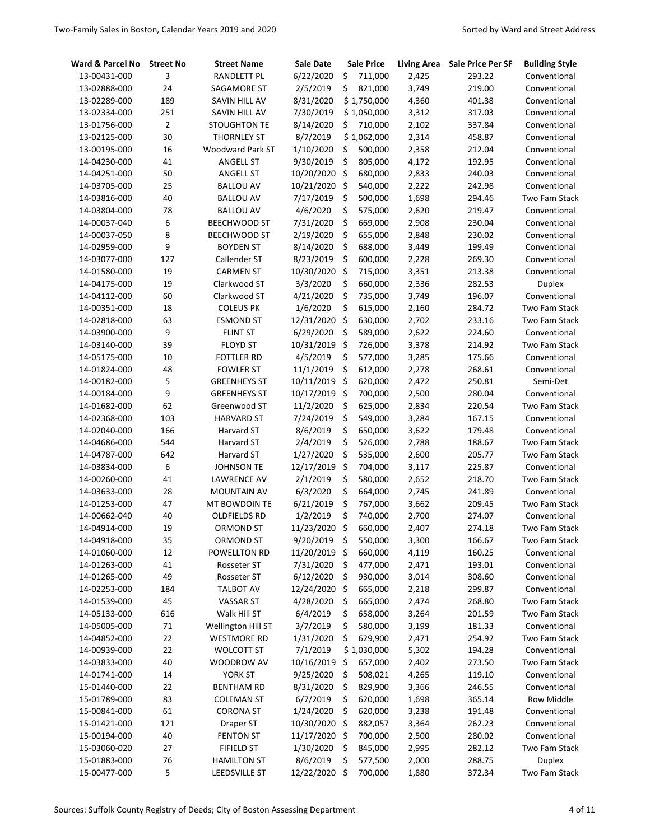| Ward & Parcel No | <b>Street No</b> | <b>Street Name</b>      | Sale Date  | <b>Sale Price</b> | <b>Living Area</b> | <b>Sale Price Per SF</b> | <b>Building Style</b> |
|------------------|------------------|-------------------------|------------|-------------------|--------------------|--------------------------|-----------------------|
| 13-00431-000     | 3                | <b>RANDLETT PL</b>      | 6/22/2020  | \$<br>711,000     | 2,425              | 293.22                   | Conventional          |
| 13-02888-000     | 24               | SAGAMORE ST             | 2/5/2019   | \$<br>821,000     | 3,749              | 219.00                   | Conventional          |
| 13-02289-000     | 189              | SAVIN HILL AV           | 8/31/2020  | \$1,750,000       | 4,360              | 401.38                   | Conventional          |
| 13-02334-000     | 251              | SAVIN HILL AV           | 7/30/2019  | \$1,050,000       | 3,312              | 317.03                   | Conventional          |
| 13-01756-000     | $\overline{2}$   | <b>STOUGHTON TE</b>     | 8/14/2020  | \$<br>710,000     | 2,102              | 337.84                   | Conventional          |
| 13-02125-000     | 30               | <b>THORNLEY ST</b>      | 8/7/2019   | \$1,062,000       | 2,314              | 458.87                   | Conventional          |
| 13-00195-000     | 16               | <b>Woodward Park ST</b> | 1/10/2020  | \$<br>500,000     | 2,358              | 212.04                   | Conventional          |
| 14-04230-000     | 41               | <b>ANGELL ST</b>        | 9/30/2019  | \$<br>805,000     | 4,172              | 192.95                   | Conventional          |
| 14-04251-000     | 50               | <b>ANGELL ST</b>        | 10/20/2020 | \$<br>680,000     | 2,833              | 240.03                   | Conventional          |
| 14-03705-000     | 25               | <b>BALLOU AV</b>        | 10/21/2020 | \$<br>540,000     | 2,222              | 242.98                   | Conventional          |
| 14-03816-000     | 40               | <b>BALLOU AV</b>        | 7/17/2019  | \$<br>500,000     | 1,698              | 294.46                   | Two Fam Stack         |
| 14-03804-000     | 78               | <b>BALLOU AV</b>        | 4/6/2020   | \$<br>575,000     | 2,620              | 219.47                   | Conventional          |
| 14-00037-040     | 6                | <b>BEECHWOOD ST</b>     | 7/31/2020  | \$<br>669,000     | 2,908              | 230.04                   | Conventional          |
| 14-00037-050     | 8                | <b>BEECHWOOD ST</b>     | 2/19/2020  | \$<br>655,000     | 2,848              | 230.02                   | Conventional          |
| 14-02959-000     | 9                | <b>BOYDEN ST</b>        | 8/14/2020  | \$<br>688,000     | 3,449              | 199.49                   | Conventional          |
| 14-03077-000     | 127              | Callender ST            | 8/23/2019  | \$<br>600,000     | 2,228              | 269.30                   | Conventional          |
| 14-01580-000     | 19               | <b>CARMEN ST</b>        | 10/30/2020 | \$<br>715,000     | 3,351              | 213.38                   | Conventional          |
| 14-04175-000     | 19               | Clarkwood ST            | 3/3/2020   | \$<br>660,000     | 2,336              | 282.53                   | Duplex                |
| 14-04112-000     | 60               | Clarkwood ST            | 4/21/2020  | \$<br>735,000     | 3,749              | 196.07                   | Conventional          |
| 14-00351-000     | 18               | <b>COLEUS PK</b>        | 1/6/2020   | \$<br>615,000     | 2,160              | 284.72                   | <b>Two Fam Stack</b>  |
| 14-02818-000     | 63               | <b>ESMOND ST</b>        | 12/31/2020 | \$<br>630,000     | 2,702              | 233.16                   | <b>Two Fam Stack</b>  |
| 14-03900-000     | 9                | <b>FLINT ST</b>         | 6/29/2020  | \$<br>589,000     | 2,622              | 224.60                   | Conventional          |
| 14-03140-000     | 39               | <b>FLOYD ST</b>         | 10/31/2019 | \$<br>726,000     | 3,378              | 214.92                   | <b>Two Fam Stack</b>  |
| 14-05175-000     | 10               | <b>FOTTLER RD</b>       | 4/5/2019   | \$<br>577,000     | 3,285              | 175.66                   | Conventional          |
| 14-01824-000     | 48               | <b>FOWLER ST</b>        | 11/1/2019  | \$<br>612,000     | 2,278              | 268.61                   | Conventional          |
| 14-00182-000     | 5                | <b>GREENHEYS ST</b>     | 10/11/2019 | \$<br>620,000     | 2,472              | 250.81                   | Semi-Det              |
| 14-00184-000     | 9                | <b>GREENHEYS ST</b>     | 10/17/2019 | \$<br>700,000     | 2,500              | 280.04                   | Conventional          |
| 14-01682-000     | 62               | Greenwood ST            | 11/2/2020  | \$<br>625,000     | 2,834              | 220.54                   | Two Fam Stack         |
| 14-02368-000     | 103              | <b>HARVARD ST</b>       | 7/24/2019  | \$<br>549,000     | 3,284              | 167.15                   | Conventional          |
| 14-02040-000     | 166              | Harvard ST              | 8/6/2019   | \$<br>650,000     | 3,622              | 179.48                   | Conventional          |
| 14-04686-000     | 544              | Harvard ST              | 2/4/2019   | \$<br>526,000     | 2,788              | 188.67                   | Two Fam Stack         |
| 14-04787-000     | 642              | Harvard ST              | 1/27/2020  | \$<br>535,000     | 2,600              | 205.77                   | Two Fam Stack         |
| 14-03834-000     | 6                | JOHNSON TE              | 12/17/2019 | \$<br>704,000     | 3,117              | 225.87                   | Conventional          |
| 14-00260-000     | 41               | <b>LAWRENCE AV</b>      | 2/1/2019   | \$<br>580,000     | 2,652              | 218.70                   | Two Fam Stack         |
| 14-03633-000     | 28               | <b>MOUNTAIN AV</b>      | 6/3/2020   | \$<br>664,000     | 2,745              | 241.89                   | Conventional          |
| 14-01253-000     | 47               | MT BOWDOIN TE           | 6/21/2019  | \$<br>767,000     | 3,662              | 209.45                   | Two Fam Stack         |
| 14-00662-040     | 40               | <b>OLDFIELDS RD</b>     | 1/2/2019   | \$<br>740,000     | 2,700              | 274.07                   | Conventional          |
| 14-04914-000     | 19               | <b>ORMOND ST</b>        | 11/23/2020 | \$<br>660,000     | 2,407              | 274.18                   | Two Fam Stack         |
| 14-04918-000     | 35               | ORMOND ST               | 9/20/2019  | \$<br>550,000     | 3,300              | 166.67                   | Two Fam Stack         |
| 14-01060-000     | 12               | POWELLTON RD            | 11/20/2019 | \$<br>660,000     | 4,119              | 160.25                   | Conventional          |
| 14-01263-000     | 41               | Rosseter ST             | 7/31/2020  | \$<br>477,000     | 2,471              | 193.01                   | Conventional          |
| 14-01265-000     | 49               | Rosseter ST             | 6/12/2020  | \$<br>930,000     | 3,014              | 308.60                   | Conventional          |
| 14-02253-000     | 184              | <b>TALBOT AV</b>        | 12/24/2020 | \$<br>665,000     | 2,218              | 299.87                   | Conventional          |
| 14-01539-000     | 45               | <b>VASSAR ST</b>        | 4/28/2020  | \$<br>665,000     | 2,474              | 268.80                   | Two Fam Stack         |
| 14-05133-000     | 616              | Walk Hill ST            | 6/4/2019   | \$<br>658,000     | 3,264              | 201.59                   | Two Fam Stack         |
| 14-05005-000     | 71               | Wellington Hill ST      | 3/7/2019   | \$<br>580,000     | 3,199              | 181.33                   | Conventional          |
| 14-04852-000     | 22               | <b>WESTMORE RD</b>      | 1/31/2020  | \$<br>629,900     | 2,471              | 254.92                   | Two Fam Stack         |
| 14-00939-000     | 22               | <b>WOLCOTT ST</b>       | 7/1/2019   | \$1,030,000       | 5,302              | 194.28                   | Conventional          |
| 14-03833-000     | 40               | WOODROW AV              | 10/16/2019 | \$<br>657,000     | 2,402              | 273.50                   | Two Fam Stack         |
| 14-01741-000     | 14               | YORK ST                 | 9/25/2020  | \$<br>508,021     | 4,265              | 119.10                   | Conventional          |
| 15-01440-000     | 22               | <b>BENTHAM RD</b>       | 8/31/2020  | \$<br>829,900     | 3,366              | 246.55                   | Conventional          |
| 15-01789-000     | 83               | <b>COLEMAN ST</b>       | 6/7/2019   | \$<br>620,000     | 1,698              | 365.14                   | Row Middle            |
| 15-00841-000     | 61               | <b>CORONA ST</b>        | 1/24/2020  | \$<br>620,000     | 3,238              | 191.48                   | Conventional          |
| 15-01421-000     | 121              | Draper ST               | 10/30/2020 | \$<br>882,057     | 3,364              | 262.23                   | Conventional          |
| 15-00194-000     | 40               | <b>FENTON ST</b>        | 11/17/2020 | \$<br>700,000     | 2,500              | 280.02                   | Conventional          |
| 15-03060-020     | 27               | <b>FIFIELD ST</b>       | 1/30/2020  | \$<br>845,000     | 2,995              | 282.12                   | Two Fam Stack         |
| 15-01883-000     | 76               | <b>HAMILTON ST</b>      | 8/6/2019   | \$<br>577,500     | 2,000              | 288.75                   | Duplex                |
| 15-00477-000     | 5                | LEEDSVILLE ST           | 12/22/2020 | \$<br>700,000     | 1,880              | 372.34                   | Two Fam Stack         |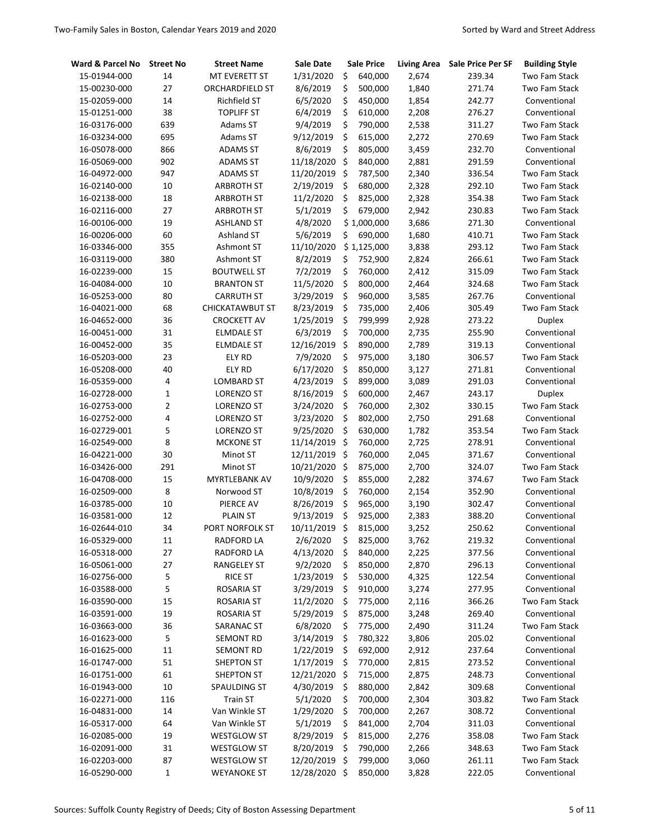| Ward & Parcel No | <b>Street No</b> | <b>Street Name</b>     | Sale Date     | <b>Sale Price</b> | <b>Living Area</b> | <b>Sale Price Per SF</b> | <b>Building Style</b> |
|------------------|------------------|------------------------|---------------|-------------------|--------------------|--------------------------|-----------------------|
| 15-01944-000     | 14               | MT EVERETT ST          | 1/31/2020     | \$<br>640,000     | 2,674              | 239.34                   | Two Fam Stack         |
| 15-00230-000     | 27               | <b>ORCHARDFIELD ST</b> | 8/6/2019      | \$<br>500,000     | 1,840              | 271.74                   | <b>Two Fam Stack</b>  |
| 15-02059-000     | 14               | <b>Richfield ST</b>    | 6/5/2020      | \$<br>450,000     | 1,854              | 242.77                   | Conventional          |
| 15-01251-000     | 38               | <b>TOPLIFF ST</b>      | 6/4/2019      | \$<br>610,000     | 2,208              | 276.27                   | Conventional          |
| 16-03176-000     | 639              | Adams ST               | 9/4/2019      | \$<br>790,000     | 2,538              | 311.27                   | Two Fam Stack         |
| 16-03234-000     | 695              | Adams ST               | 9/12/2019     | \$<br>615,000     | 2,272              | 270.69                   | Two Fam Stack         |
| 16-05078-000     | 866              | <b>ADAMS ST</b>        | 8/6/2019      | \$<br>805,000     | 3,459              | 232.70                   | Conventional          |
| 16-05069-000     | 902              | <b>ADAMS ST</b>        | 11/18/2020    | \$<br>840,000     | 2,881              | 291.59                   | Conventional          |
| 16-04972-000     | 947              | <b>ADAMS ST</b>        | 11/20/2019    | \$<br>787,500     | 2,340              | 336.54                   | <b>Two Fam Stack</b>  |
| 16-02140-000     | 10               | <b>ARBROTH ST</b>      | 2/19/2019     | \$<br>680,000     | 2,328              | 292.10                   | Two Fam Stack         |
| 16-02138-000     | 18               | <b>ARBROTH ST</b>      | 11/2/2020     | \$<br>825,000     | 2,328              | 354.38                   | Two Fam Stack         |
| 16-02116-000     | 27               | <b>ARBROTH ST</b>      | 5/1/2019      | \$<br>679,000     | 2,942              | 230.83                   | Two Fam Stack         |
| 16-00106-000     | 19               | <b>ASHLAND ST</b>      | 4/8/2020      | \$1,000,000       | 3,686              | 271.30                   | Conventional          |
| 16-00206-000     | 60               | Ashland ST             | 5/6/2019      | \$<br>690,000     | 1,680              | 410.71                   | Two Fam Stack         |
| 16-03346-000     | 355              | Ashmont ST             | 11/10/2020    | \$1,125,000       | 3,838              | 293.12                   | Two Fam Stack         |
| 16-03119-000     | 380              | Ashmont ST             | 8/2/2019      | \$<br>752,900     | 2,824              | 266.61                   | Two Fam Stack         |
| 16-02239-000     | 15               | <b>BOUTWELL ST</b>     | 7/2/2019      | \$<br>760,000     | 2,412              | 315.09                   | <b>Two Fam Stack</b>  |
| 16-04084-000     | 10               | <b>BRANTON ST</b>      | 11/5/2020     | \$<br>800,000     | 2,464              | 324.68                   | Two Fam Stack         |
| 16-05253-000     | 80               | <b>CARRUTH ST</b>      | 3/29/2019     | \$<br>960,000     | 3,585              | 267.76                   | Conventional          |
| 16-04021-000     | 68               | <b>CHICKATAWBUT ST</b> | 8/23/2019     | \$<br>735,000     | 2,406              | 305.49                   | <b>Two Fam Stack</b>  |
| 16-04652-000     | 36               | <b>CROCKETT AV</b>     | 1/25/2019     | \$<br>799,999     | 2,928              | 273.22                   | <b>Duplex</b>         |
| 16-00451-000     | 31               | <b>ELMDALE ST</b>      | 6/3/2019      | \$<br>700,000     | 2,735              | 255.90                   | Conventional          |
| 16-00452-000     | 35               | <b>ELMDALE ST</b>      | 12/16/2019    | \$<br>890,000     | 2,789              | 319.13                   | Conventional          |
| 16-05203-000     | 23               | ELY RD                 | 7/9/2020      | \$<br>975,000     | 3,180              | 306.57                   | Two Fam Stack         |
| 16-05208-000     | 40               | ELY RD                 | 6/17/2020     | \$<br>850,000     | 3,127              | 271.81                   | Conventional          |
| 16-05359-000     | 4                | LOMBARD ST             | 4/23/2019     | \$<br>899,000     | 3,089              | 291.03                   | Conventional          |
| 16-02728-000     | 1                | LORENZO ST             | 8/16/2019     | \$<br>600,000     | 2,467              | 243.17                   | <b>Duplex</b>         |
| 16-02753-000     | $\overline{2}$   | LORENZO ST             | 3/24/2020     | \$<br>760,000     | 2,302              | 330.15                   | Two Fam Stack         |
| 16-02752-000     | 4                | LORENZO ST             | 3/23/2020     | \$<br>802,000     | 2,750              | 291.68                   | Conventional          |
| 16-02729-001     | 5                | LORENZO ST             | 9/25/2020     | \$<br>630,000     | 1,782              | 353.54                   | Two Fam Stack         |
| 16-02549-000     | 8                | <b>MCKONE ST</b>       | 11/14/2019    | \$<br>760,000     | 2,725              | 278.91                   | Conventional          |
| 16-04221-000     | 30               | Minot ST               | 12/11/2019    | \$<br>760,000     | 2,045              | 371.67                   | Conventional          |
| 16-03426-000     | 291              | Minot ST               | 10/21/2020    | \$<br>875,000     | 2,700              | 324.07                   | Two Fam Stack         |
| 16-04708-000     | 15               | MYRTLEBANK AV          | 10/9/2020     | \$<br>855,000     | 2,282              | 374.67                   | Two Fam Stack         |
| 16-02509-000     | 8                | Norwood ST             | 10/8/2019     | \$<br>760,000     | 2,154              | 352.90                   | Conventional          |
| 16-03785-000     | 10               | PIERCE AV              | 8/26/2019     | \$<br>965,000     | 3,190              | 302.47                   | Conventional          |
| 16-03581-000     | 12               | <b>PLAIN ST</b>        | 9/13/2019     | \$<br>925,000     | 2,383              | 388.20                   | Conventional          |
| 16-02644-010     | 34               | PORT NORFOLK ST        | 10/11/2019    | \$<br>815,000     | 3,252              | 250.62                   | Conventional          |
| 16-05329-000     | 11               | RADFORD LA             | 2/6/2020      | \$<br>825,000     | 3,762              | 219.32                   | Conventional          |
| 16-05318-000     | 27               | <b>RADFORD LA</b>      | 4/13/2020     | \$<br>840,000     | 2,225              | 377.56                   | Conventional          |
| 16-05061-000     | 27               | <b>RANGELEY ST</b>     | 9/2/2020      | \$<br>850,000     | 2,870              | 296.13                   | Conventional          |
| 16-02756-000     | 5                | <b>RICE ST</b>         | 1/23/2019     | \$<br>530,000     | 4,325              | 122.54                   | Conventional          |
| 16-03588-000     | 5                | ROSARIA ST             | 3/29/2019     | \$<br>910,000     | 3,274              | 277.95                   | Conventional          |
| 16-03590-000     | 15               | <b>ROSARIA ST</b>      | 11/2/2020     | \$<br>775,000     | 2,116              | 366.26                   | Two Fam Stack         |
| 16-03591-000     | 19               | ROSARIA ST             | 5/29/2019     | \$<br>875,000     | 3,248              | 269.40                   | Conventional          |
| 16-03663-000     | 36               | SARANAC ST             | 6/8/2020      | \$<br>775,000     | 2,490              | 311.24                   | Two Fam Stack         |
| 16-01623-000     | 5                | SEMONT RD              | 3/14/2019     | \$<br>780,322     | 3,806              | 205.02                   | Conventional          |
| 16-01625-000     | $11\,$           | SEMONT RD              | 1/22/2019     | \$<br>692,000     | 2,912              | 237.64                   | Conventional          |
| 16-01747-000     | 51               | <b>SHEPTON ST</b>      | 1/17/2019     | \$<br>770,000     | 2,815              | 273.52                   | Conventional          |
| 16-01751-000     | 61               | SHEPTON ST             | 12/21/2020    | \$<br>715,000     | 2,875              | 248.73                   | Conventional          |
| 16-01943-000     | 10               | SPAULDING ST           | 4/30/2019     | \$<br>880,000     | 2,842              | 309.68                   | Conventional          |
| 16-02271-000     | 116              | <b>Train ST</b>        | 5/1/2020      | \$<br>700,000     | 2,304              | 303.82                   | Two Fam Stack         |
| 16-04831-000     | 14               | Van Winkle ST          | 1/29/2020     | \$<br>700,000     | 2,267              | 308.72                   | Conventional          |
| 16-05317-000     | 64               | Van Winkle ST          | 5/1/2019      | \$<br>841,000     | 2,704              | 311.03                   | Conventional          |
| 16-02085-000     | 19               | <b>WESTGLOW ST</b>     | 8/29/2019     | \$<br>815,000     | 2,276              | 358.08                   | Two Fam Stack         |
| 16-02091-000     | 31               | <b>WESTGLOW ST</b>     | 8/20/2019     | \$<br>790,000     | 2,266              | 348.63                   | Two Fam Stack         |
| 16-02203-000     | 87               | WESTGLOW ST            | 12/20/2019    | \$<br>799,000     | 3,060              | 261.11                   | Two Fam Stack         |
| 16-05290-000     | 1                | <b>WEYANOKE ST</b>     | 12/28/2020 \$ | 850,000           | 3,828              | 222.05                   | Conventional          |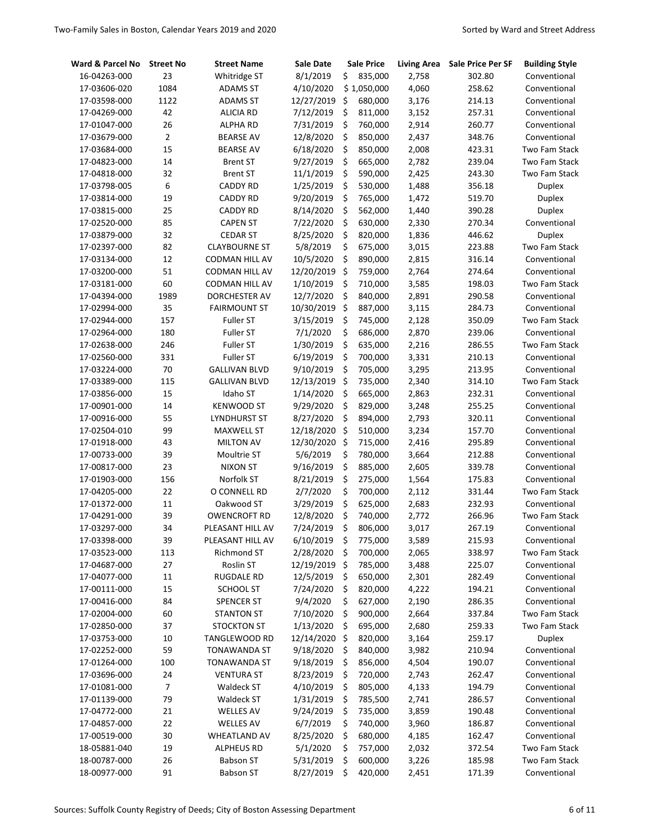| Ward & Parcel No | <b>Street No</b> | <b>Street Name</b>    | Sale Date  |         | <b>Sale Price</b> | <b>Living Area</b> | Sale Price Per SF | <b>Building Style</b> |
|------------------|------------------|-----------------------|------------|---------|-------------------|--------------------|-------------------|-----------------------|
| 16-04263-000     | 23               | Whitridge ST          | 8/1/2019   | \$      | 835,000           | 2,758              | 302.80            | Conventional          |
| 17-03606-020     | 1084             | <b>ADAMS ST</b>       | 4/10/2020  |         | \$1,050,000       | 4,060              | 258.62            | Conventional          |
| 17-03598-000     | 1122             | <b>ADAMS ST</b>       | 12/27/2019 | \$      | 680,000           | 3,176              | 214.13            | Conventional          |
| 17-04269-000     | 42               | <b>ALICIA RD</b>      | 7/12/2019  | \$      | 811,000           | 3,152              | 257.31            | Conventional          |
| 17-01047-000     | 26               | <b>ALPHA RD</b>       | 7/31/2019  | \$      | 760,000           | 2,914              | 260.77            | Conventional          |
| 17-03679-000     | $\mathbf 2$      | <b>BEARSE AV</b>      | 12/8/2020  | \$      | 850,000           | 2,437              | 348.76            | Conventional          |
| 17-03684-000     | 15               | <b>BEARSE AV</b>      | 6/18/2020  | \$      | 850,000           | 2,008              | 423.31            | Two Fam Stack         |
| 17-04823-000     | 14               | <b>Brent ST</b>       | 9/27/2019  | \$      | 665,000           | 2,782              | 239.04            | <b>Two Fam Stack</b>  |
| 17-04818-000     | 32               | <b>Brent ST</b>       | 11/1/2019  | \$      | 590,000           | 2,425              | 243.30            | Two Fam Stack         |
| 17-03798-005     | 6                | <b>CADDY RD</b>       | 1/25/2019  | \$      | 530,000           | 1,488              | 356.18            | <b>Duplex</b>         |
| 17-03814-000     | 19               | <b>CADDY RD</b>       | 9/20/2019  | \$      | 765,000           | 1,472              | 519.70            | <b>Duplex</b>         |
| 17-03815-000     | 25               | <b>CADDY RD</b>       | 8/14/2020  | \$      | 562,000           | 1,440              | 390.28            | <b>Duplex</b>         |
| 17-02520-000     | 85               | <b>CAPEN ST</b>       | 7/22/2020  | \$      | 630,000           | 2,330              | 270.34            | Conventional          |
| 17-03879-000     | 32               | <b>CEDAR ST</b>       | 8/25/2020  | \$      | 820,000           | 1,836              | 446.62            | <b>Duplex</b>         |
| 17-02397-000     | 82               | <b>CLAYBOURNE ST</b>  | 5/8/2019   | \$      | 675,000           | 3,015              | 223.88            | Two Fam Stack         |
| 17-03134-000     | 12               | CODMAN HILL AV        | 10/5/2020  | \$      | 890,000           | 2,815              | 316.14            | Conventional          |
| 17-03200-000     | 51               | CODMAN HILL AV        | 12/20/2019 | \$      | 759,000           | 2,764              | 274.64            | Conventional          |
| 17-03181-000     | 60               | <b>CODMAN HILL AV</b> | 1/10/2019  | \$      | 710,000           | 3,585              | 198.03            | Two Fam Stack         |
| 17-04394-000     | 1989             | DORCHESTER AV         | 12/7/2020  | \$      | 840,000           | 2,891              | 290.58            | Conventional          |
| 17-02994-000     | 35               | <b>FAIRMOUNT ST</b>   | 10/30/2019 | \$      | 887,000           | 3,115              | 284.73            | Conventional          |
| 17-02944-000     | 157              | <b>Fuller ST</b>      | 3/15/2019  | \$      | 745,000           | 2,128              | 350.09            | Two Fam Stack         |
| 17-02964-000     | 180              | <b>Fuller ST</b>      | 7/1/2020   | \$      | 686,000           | 2,870              | 239.06            | Conventional          |
| 17-02638-000     | 246              | Fuller ST             | 1/30/2019  | \$      | 635,000           | 2,216              | 286.55            | Two Fam Stack         |
| 17-02560-000     | 331              | <b>Fuller ST</b>      | 6/19/2019  | \$      | 700,000           | 3,331              | 210.13            | Conventional          |
| 17-03224-000     | 70               | <b>GALLIVAN BLVD</b>  | 9/10/2019  | \$      | 705,000           | 3,295              | 213.95            | Conventional          |
| 17-03389-000     | 115              | <b>GALLIVAN BLVD</b>  | 12/13/2019 | \$      | 735,000           | 2,340              | 314.10            | Two Fam Stack         |
| 17-03856-000     | 15               | Idaho ST              | 1/14/2020  | \$      | 665,000           | 2,863              | 232.31            | Conventional          |
| 17-00901-000     | 14               | <b>KENWOOD ST</b>     | 9/29/2020  | \$      | 829,000           | 3,248              | 255.25            | Conventional          |
| 17-00916-000     | 55               | <b>LYNDHURST ST</b>   | 8/27/2020  | \$      | 894,000           | 2,793              | 320.11            | Conventional          |
| 17-02504-010     | 99               | <b>MAXWELL ST</b>     | 12/18/2020 | \$      | 510,000           | 3,234              | 157.70            | Conventional          |
| 17-01918-000     | 43               | <b>MILTON AV</b>      | 12/30/2020 | $\zeta$ | 715,000           | 2,416              | 295.89            | Conventional          |
| 17-00733-000     | 39               | Moultrie ST           | 5/6/2019   | \$      | 780,000           | 3,664              | 212.88            | Conventional          |
| 17-00817-000     | 23               | <b>NIXON ST</b>       | 9/16/2019  | \$      | 885,000           | 2,605              | 339.78            | Conventional          |
| 17-01903-000     | 156              | Norfolk ST            | 8/21/2019  | \$      | 275,000           | 1,564              | 175.83            | Conventional          |
| 17-04205-000     | 22               | O CONNELL RD          | 2/7/2020   | \$      | 700,000           | 2,112              | 331.44            | Two Fam Stack         |
| 17-01372-000     | $11\,$           | Oakwood ST            | 3/29/2019  | \$      | 625,000           | 2,683              | 232.93            | Conventional          |
| 17-04291-000     | 39               | <b>OWENCROFT RD</b>   | 12/8/2020  | \$      | 740,000           | 2,772              | 266.96            | Two Fam Stack         |
| 17-03297-000     | 34               | PLEASANT HILL AV      | 7/24/2019  | \$      | 806,000           | 3,017              | 267.19            | Conventional          |
| 17-03398-000     | 39               | PLEASANT HILL AV      | 6/10/2019  | \$      | 775,000           | 3,589              | 215.93            | Conventional          |
| 17-03523-000     | 113              | <b>Richmond ST</b>    | 2/28/2020  | \$      | 700,000           | 2,065              | 338.97            | Two Fam Stack         |
| 17-04687-000     | 27               | Roslin ST             | 12/19/2019 | \$      | 785,000           | 3,488              | 225.07            | Conventional          |
| 17-04077-000     | 11               | <b>RUGDALE RD</b>     | 12/5/2019  | \$      | 650,000           | 2,301              | 282.49            | Conventional          |
| 17-00111-000     | 15               | SCHOOL ST             | 7/24/2020  | \$      | 820,000           | 4,222              | 194.21            | Conventional          |
| 17-00416-000     | 84               | <b>SPENCER ST</b>     | 9/4/2020   | \$      | 627,000           | 2,190              | 286.35            | Conventional          |
| 17-02004-000     | 60               | <b>STANTON ST</b>     | 7/10/2020  | \$      | 900,000           | 2,664              | 337.84            | Two Fam Stack         |
| 17-02850-000     | 37               | <b>STOCKTON ST</b>    | 1/13/2020  | \$      | 695,000           | 2,680              | 259.33            | Two Fam Stack         |
| 17-03753-000     | 10               | TANGLEWOOD RD         | 12/14/2020 | \$      | 820,000           | 3,164              | 259.17            | <b>Duplex</b>         |
| 17-02252-000     | 59               | <b>TONAWANDA ST</b>   | 9/18/2020  | \$      | 840,000           | 3,982              | 210.94            | Conventional          |
| 17-01264-000     | 100              | <b>TONAWANDA ST</b>   | 9/18/2019  | \$      | 856,000           | 4,504              | 190.07            | Conventional          |
| 17-03696-000     | 24               | <b>VENTURA ST</b>     | 8/23/2019  | \$      | 720,000           | 2,743              | 262.47            | Conventional          |
| 17-01081-000     | 7                | Waldeck ST            | 4/10/2019  | \$      | 805,000           | 4,133              | 194.79            | Conventional          |
| 17-01139-000     | 79               | Waldeck ST            | 1/31/2019  | \$      | 785,500           | 2,741              | 286.57            | Conventional          |
| 17-04772-000     | 21               | <b>WELLES AV</b>      | 9/24/2019  | \$      | 735,000           | 3,859              | 190.48            | Conventional          |
| 17-04857-000     | 22               | <b>WELLES AV</b>      | 6/7/2019   | \$      | 740,000           | 3,960              | 186.87            | Conventional          |
| 17-00519-000     | 30               | <b>WHEATLAND AV</b>   | 8/25/2020  | \$      | 680,000           | 4,185              | 162.47            | Conventional          |
| 18-05881-040     | 19               | <b>ALPHEUS RD</b>     | 5/1/2020   | \$      | 757,000           | 2,032              | 372.54            | Two Fam Stack         |
| 18-00787-000     | 26               | <b>Babson ST</b>      | 5/31/2019  | \$      | 600,000           | 3,226              | 185.98            | Two Fam Stack         |
| 18-00977-000     | 91               | <b>Babson ST</b>      | 8/27/2019  | \$      | 420,000           | 2,451              | 171.39            | Conventional          |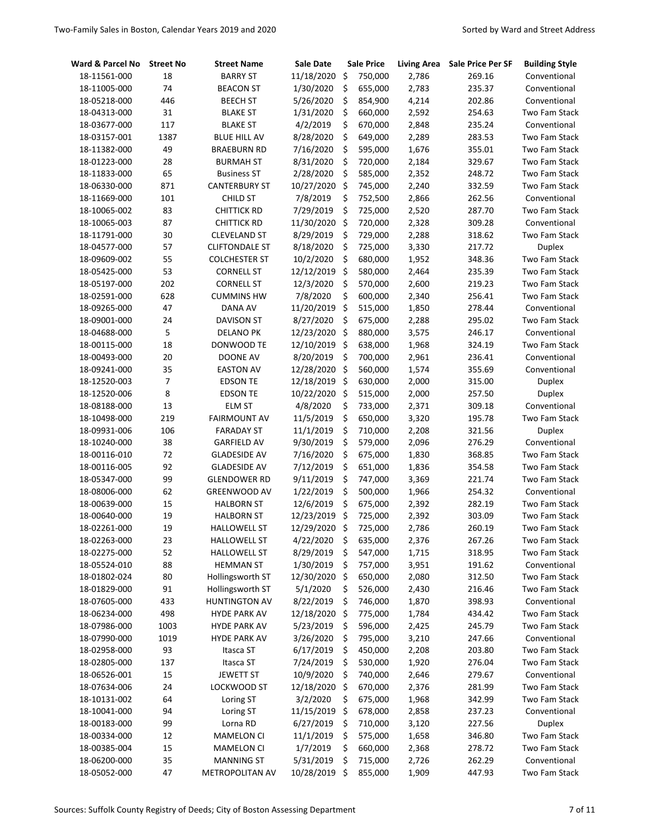| Ward & Parcel No | <b>Street No</b> | <b>Street Name</b>    | Sale Date     | <b>Sale Price</b> | <b>Living Area</b> | <b>Sale Price Per SF</b> | <b>Building Style</b> |
|------------------|------------------|-----------------------|---------------|-------------------|--------------------|--------------------------|-----------------------|
| 18-11561-000     | 18               | <b>BARRY ST</b>       | 11/18/2020    | \$<br>750,000     | 2,786              | 269.16                   | Conventional          |
| 18-11005-000     | 74               | <b>BEACON ST</b>      | 1/30/2020     | \$<br>655,000     | 2,783              | 235.37                   | Conventional          |
| 18-05218-000     | 446              | <b>BEECH ST</b>       | 5/26/2020     | \$<br>854,900     | 4,214              | 202.86                   | Conventional          |
| 18-04313-000     | 31               | <b>BLAKE ST</b>       | 1/31/2020     | \$<br>660,000     | 2,592              | 254.63                   | Two Fam Stack         |
| 18-03677-000     | 117              | <b>BLAKE ST</b>       | 4/2/2019      | \$<br>670,000     | 2,848              | 235.24                   | Conventional          |
| 18-03157-001     | 1387             | <b>BLUE HILL AV</b>   | 8/28/2020     | \$<br>649,000     | 2,289              | 283.53                   | Two Fam Stack         |
| 18-11382-000     | 49               | <b>BRAEBURN RD</b>    | 7/16/2020     | \$<br>595,000     | 1,676              | 355.01                   | Two Fam Stack         |
| 18-01223-000     | 28               | <b>BURMAH ST</b>      | 8/31/2020     | \$<br>720,000     | 2,184              | 329.67                   | Two Fam Stack         |
| 18-11833-000     | 65               | <b>Business ST</b>    | 2/28/2020     | \$<br>585,000     | 2,352              | 248.72                   | Two Fam Stack         |
| 18-06330-000     | 871              | <b>CANTERBURY ST</b>  | 10/27/2020    | \$<br>745,000     | 2,240              | 332.59                   | Two Fam Stack         |
| 18-11669-000     | 101              | <b>CHILD ST</b>       | 7/8/2019      | \$<br>752,500     | 2,866              | 262.56                   | Conventional          |
| 18-10065-002     | 83               | <b>CHITTICK RD</b>    | 7/29/2019     | \$<br>725,000     | 2,520              | 287.70                   | <b>Two Fam Stack</b>  |
| 18-10065-003     | 87               | <b>CHITTICK RD</b>    | 11/30/2020    | \$<br>720,000     | 2,328              | 309.28                   | Conventional          |
| 18-11791-000     | 30               | <b>CLEVELAND ST</b>   | 8/29/2019     | \$<br>729,000     | 2,288              | 318.62                   | <b>Two Fam Stack</b>  |
| 18-04577-000     | 57               | <b>CLIFTONDALE ST</b> | 8/18/2020     | \$<br>725,000     | 3,330              | 217.72                   | <b>Duplex</b>         |
| 18-09609-002     | 55               | <b>COLCHESTER ST</b>  | 10/2/2020     | \$<br>680,000     | 1,952              | 348.36                   | Two Fam Stack         |
| 18-05425-000     | 53               | <b>CORNELL ST</b>     | 12/12/2019    | \$<br>580,000     | 2,464              | 235.39                   | Two Fam Stack         |
| 18-05197-000     | 202              | <b>CORNELL ST</b>     | 12/3/2020     | \$<br>570,000     | 2,600              | 219.23                   | Two Fam Stack         |
| 18-02591-000     | 628              | <b>CUMMINS HW</b>     | 7/8/2020      | \$<br>600,000     | 2,340              | 256.41                   | Two Fam Stack         |
| 18-09265-000     | 47               | DANA AV               | 11/20/2019    | \$<br>515,000     | 1,850              | 278.44                   | Conventional          |
| 18-09001-000     | 24               | DAVISON ST            | 8/27/2020     | \$<br>675,000     | 2,288              | 295.02                   | <b>Two Fam Stack</b>  |
| 18-04688-000     | 5                | DELANO PK             | 12/23/2020    | \$<br>880,000     | 3,575              | 246.17                   | Conventional          |
| 18-00115-000     | 18               | DONWOOD TE            | 12/10/2019    | \$<br>638,000     | 1,968              | 324.19                   | <b>Two Fam Stack</b>  |
| 18-00493-000     | 20               | DOONE AV              | 8/20/2019     | \$<br>700,000     | 2,961              | 236.41                   | Conventional          |
| 18-09241-000     | 35               | <b>EASTON AV</b>      | 12/28/2020    | \$<br>560,000     | 1,574              | 355.69                   | Conventional          |
| 18-12520-003     | $\overline{7}$   | <b>EDSON TE</b>       | 12/18/2019    | \$<br>630,000     | 2,000              | 315.00                   | <b>Duplex</b>         |
| 18-12520-006     | 8                | <b>EDSON TE</b>       | 10/22/2020    | \$<br>515,000     | 2,000              | 257.50                   | <b>Duplex</b>         |
| 18-08188-000     | 13               | <b>ELM ST</b>         | 4/8/2020      | \$<br>733,000     | 2,371              | 309.18                   | Conventional          |
| 18-10498-000     | 219              | <b>FAIRMOUNT AV</b>   | 11/5/2019     | \$<br>650,000     | 3,320              | 195.78                   | Two Fam Stack         |
| 18-09931-006     | 106              | <b>FARADAY ST</b>     | 11/1/2019     | \$<br>710,000     | 2,208              | 321.56                   | <b>Duplex</b>         |
| 18-10240-000     | 38               | <b>GARFIELD AV</b>    | 9/30/2019     | \$<br>579,000     | 2,096              | 276.29                   | Conventional          |
| 18-00116-010     | 72               | <b>GLADESIDE AV</b>   | 7/16/2020     | \$<br>675,000     | 1,830              | 368.85                   | Two Fam Stack         |
| 18-00116-005     | 92               | <b>GLADESIDE AV</b>   | 7/12/2019     | \$<br>651,000     | 1,836              | 354.58                   | Two Fam Stack         |
| 18-05347-000     | 99               | <b>GLENDOWER RD</b>   | 9/11/2019     | \$<br>747,000     | 3,369              | 221.74                   | Two Fam Stack         |
| 18-08006-000     | 62               | <b>GREENWOOD AV</b>   | 1/22/2019     | \$<br>500,000     | 1,966              | 254.32                   | Conventional          |
| 18-00639-000     | 15               | <b>HALBORN ST</b>     | 12/6/2019     | \$<br>675,000     | 2,392              | 282.19                   | Two Fam Stack         |
| 18-00640-000     | 19               | <b>HALBORN ST</b>     | 12/23/2019    | \$<br>725,000     | 2,392              | 303.09                   | Two Fam Stack         |
| 18-02261-000     | 19               | <b>HALLOWELL ST</b>   | 12/29/2020 \$ | 725,000           | 2,786              | 260.19                   | Two Fam Stack         |
| 18-02263-000     | 23               | <b>HALLOWELL ST</b>   | 4/22/2020     | \$<br>635,000     | 2,376              | 267.26                   | Two Fam Stack         |
| 18-02275-000     | 52               | <b>HALLOWELL ST</b>   | 8/29/2019     | \$<br>547,000     | 1,715              | 318.95                   | Two Fam Stack         |
| 18-05524-010     | 88               | <b>HEMMAN ST</b>      | 1/30/2019     | \$<br>757,000     | 3,951              | 191.62                   | Conventional          |
| 18-01802-024     | 80               | Hollingsworth ST      | 12/30/2020    | \$<br>650,000     | 2,080              | 312.50                   | Two Fam Stack         |
| 18-01829-000     | 91               | Hollingsworth ST      | 5/1/2020      | \$<br>526,000     | 2,430              | 216.46                   | Two Fam Stack         |
| 18-07605-000     | 433              | <b>HUNTINGTON AV</b>  | 8/22/2019     | \$<br>746,000     | 1,870              | 398.93                   | Conventional          |
| 18-06234-000     | 498              | <b>HYDE PARK AV</b>   | 12/18/2020    | \$<br>775,000     | 1,784              | 434.42                   | Two Fam Stack         |
| 18-07986-000     | 1003             | <b>HYDE PARK AV</b>   | 5/23/2019     | \$<br>596,000     | 2,425              | 245.79                   | Two Fam Stack         |
| 18-07990-000     | 1019             | <b>HYDE PARK AV</b>   | 3/26/2020     | \$<br>795,000     | 3,210              | 247.66                   | Conventional          |
| 18-02958-000     | 93               | Itasca ST             | 6/17/2019     | \$<br>450,000     | 2,208              | 203.80                   | Two Fam Stack         |
| 18-02805-000     | 137              | Itasca ST             | 7/24/2019     | \$<br>530,000     | 1,920              | 276.04                   | Two Fam Stack         |
| 18-06526-001     | 15               | <b>JEWETT ST</b>      | 10/9/2020     | \$<br>740,000     | 2,646              | 279.67                   | Conventional          |
| 18-07634-006     | 24               | LOCKWOOD ST           | 12/18/2020    | \$<br>670,000     | 2,376              | 281.99                   | Two Fam Stack         |
| 18-10131-002     | 64               | Loring ST             | 3/2/2020      | \$<br>675,000     | 1,968              | 342.99                   | Two Fam Stack         |
| 18-10041-000     | 94               | Loring ST             | 11/15/2019    | \$<br>678,000     | 2,858              | 237.23                   | Conventional          |
| 18-00183-000     | 99               | Lorna RD              | 6/27/2019     | \$<br>710,000     | 3,120              | 227.56                   | Duplex                |
| 18-00334-000     | 12               | <b>MAMELON CI</b>     | 11/1/2019     | \$<br>575,000     | 1,658              | 346.80                   | Two Fam Stack         |
| 18-00385-004     | 15               | MAMELON CI            | 1/7/2019      | \$<br>660,000     | 2,368              | 278.72                   | Two Fam Stack         |
| 18-06200-000     | 35               | MANNING ST            | 5/31/2019     | \$<br>715,000     | 2,726              | 262.29                   | Conventional          |
| 18-05052-000     | 47               | METROPOLITAN AV       | 10/28/2019 \$ | 855,000           | 1,909              | 447.93                   | Two Fam Stack         |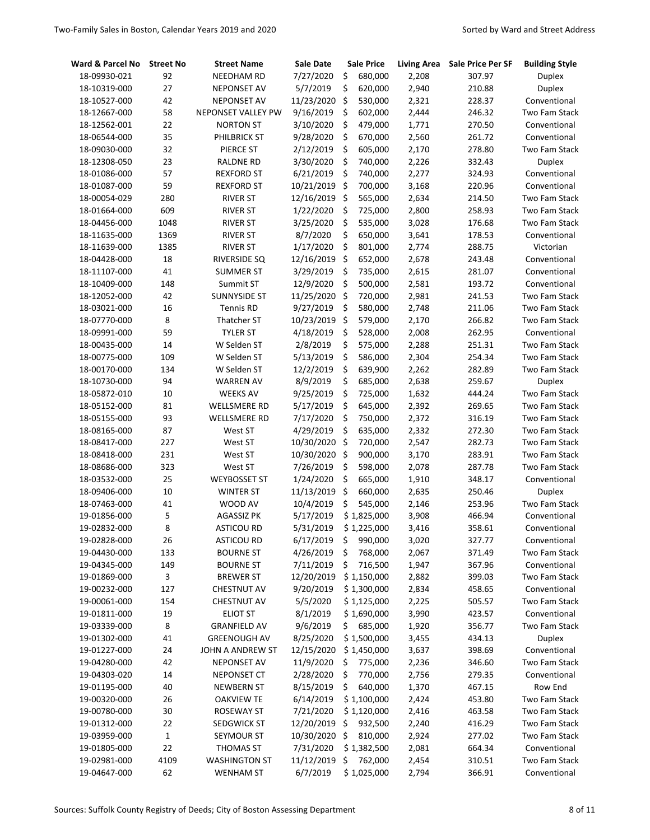| Ward & Parcel No | <b>Street No</b> | <b>Street Name</b>   | <b>Sale Date</b> |     | <b>Sale Price</b> | <b>Living Area</b> | <b>Sale Price Per SF</b> | <b>Building Style</b> |
|------------------|------------------|----------------------|------------------|-----|-------------------|--------------------|--------------------------|-----------------------|
| 18-09930-021     | 92               | <b>NEEDHAM RD</b>    | 7/27/2020        | \$  | 680,000           | 2,208              | 307.97                   | <b>Duplex</b>         |
| 18-10319-000     | 27               | <b>NEPONSET AV</b>   | 5/7/2019         | \$  | 620,000           | 2,940              | 210.88                   | <b>Duplex</b>         |
| 18-10527-000     | 42               | <b>NEPONSET AV</b>   | 11/23/2020       | \$  | 530,000           | 2,321              | 228.37                   | Conventional          |
| 18-12667-000     | 58               | NEPONSET VALLEY PW   | 9/16/2019        | \$  | 602,000           | 2,444              | 246.32                   | Two Fam Stack         |
| 18-12562-001     | 22               | <b>NORTON ST</b>     | 3/10/2020        | \$  | 479,000           | 1,771              | 270.50                   | Conventional          |
| 18-06544-000     | 35               | PHILBRICK ST         | 9/28/2020        | \$  | 670,000           | 2,560              | 261.72                   | Conventional          |
| 18-09030-000     | 32               | PIERCE ST            | 2/12/2019        | \$  | 605,000           | 2,170              | 278.80                   | Two Fam Stack         |
| 18-12308-050     | 23               | <b>RALDNE RD</b>     | 3/30/2020        | \$  | 740,000           | 2,226              | 332.43                   | <b>Duplex</b>         |
| 18-01086-000     | 57               | <b>REXFORD ST</b>    | 6/21/2019        | \$  | 740,000           | 2,277              | 324.93                   | Conventional          |
| 18-01087-000     | 59               | <b>REXFORD ST</b>    | 10/21/2019       | \$  | 700,000           | 3,168              | 220.96                   | Conventional          |
| 18-00054-029     | 280              | <b>RIVER ST</b>      | 12/16/2019       | \$  | 565,000           | 2,634              | 214.50                   | Two Fam Stack         |
| 18-01664-000     | 609              | <b>RIVER ST</b>      | 1/22/2020        | \$  | 725,000           | 2,800              | 258.93                   | Two Fam Stack         |
| 18-04456-000     | 1048             | <b>RIVER ST</b>      | 3/25/2020        | \$  | 535,000           | 3,028              | 176.68                   | Two Fam Stack         |
| 18-11635-000     | 1369             | <b>RIVER ST</b>      | 8/7/2020         | \$  | 650,000           | 3,641              | 178.53                   | Conventional          |
| 18-11639-000     | 1385             | <b>RIVER ST</b>      | 1/17/2020        | \$  | 801,000           | 2,774              | 288.75                   | Victorian             |
| 18-04428-000     | 18               | RIVERSIDE SQ         | 12/16/2019       | \$  | 652,000           | 2,678              | 243.48                   | Conventional          |
| 18-11107-000     | 41               | <b>SUMMER ST</b>     | 3/29/2019        | \$  | 735,000           | 2,615              | 281.07                   | Conventional          |
| 18-10409-000     | 148              | Summit ST            | 12/9/2020        | \$  | 500,000           | 2,581              | 193.72                   | Conventional          |
| 18-12052-000     | 42               | <b>SUNNYSIDE ST</b>  | 11/25/2020       | \$  | 720,000           | 2,981              | 241.53                   | Two Fam Stack         |
| 18-03021-000     | 16               | <b>Tennis RD</b>     | 9/27/2019        | \$  | 580,000           | 2,748              | 211.06                   | Two Fam Stack         |
| 18-07770-000     | 8                | Thatcher ST          | 10/23/2019       | \$  | 579,000           | 2,170              | 266.82                   | Two Fam Stack         |
| 18-09991-000     | 59               | <b>TYLER ST</b>      | 4/18/2019        | \$  | 528,000           | 2,008              | 262.95                   | Conventional          |
| 18-00435-000     | 14               | W Selden ST          | 2/8/2019         | \$  | 575,000           | 2,288              | 251.31                   | Two Fam Stack         |
| 18-00775-000     | 109              | W Selden ST          | 5/13/2019        | \$  | 586,000           | 2,304              | 254.34                   | Two Fam Stack         |
| 18-00170-000     | 134              | W Selden ST          | 12/2/2019        | \$  | 639,900           | 2,262              | 282.89                   | Two Fam Stack         |
| 18-10730-000     | 94               | <b>WARREN AV</b>     | 8/9/2019         | \$  | 685,000           | 2,638              | 259.67                   | <b>Duplex</b>         |
| 18-05872-010     | 10               | <b>WEEKS AV</b>      | 9/25/2019        | \$  | 725,000           | 1,632              | 444.24                   | Two Fam Stack         |
| 18-05152-000     | 81               | WELLSMERE RD         | 5/17/2019        | \$  | 645,000           | 2,392              | 269.65                   | Two Fam Stack         |
| 18-05155-000     | 93               | WELLSMERE RD         | 7/17/2020        | \$  | 750,000           | 2,372              | 316.19                   | Two Fam Stack         |
| 18-08165-000     | 87               | West ST              | 4/29/2019        | \$  | 635,000           | 2,332              | 272.30                   | Two Fam Stack         |
| 18-08417-000     | 227              | West ST              | 10/30/2020       | \$  | 720,000           | 2,547              | 282.73                   | Two Fam Stack         |
| 18-08418-000     | 231              | West ST              | 10/30/2020       | \$  | 900,000           | 3,170              | 283.91                   | Two Fam Stack         |
| 18-08686-000     | 323              | West ST              | 7/26/2019        | \$  | 598,000           | 2,078              | 287.78                   | Two Fam Stack         |
| 18-03532-000     | 25               | <b>WEYBOSSET ST</b>  | 1/24/2020        | \$  | 665,000           | 1,910              | 348.17                   | Conventional          |
| 18-09406-000     | 10               | <b>WINTER ST</b>     | 11/13/2019       | \$  | 660,000           | 2,635              | 250.46                   | <b>Duplex</b>         |
| 18-07463-000     | 41               | WOOD AV              | 10/4/2019        | \$  | 545,000           | 2,146              | 253.96                   | Two Fam Stack         |
| 19-01856-000     | 5                | <b>AGASSIZ PK</b>    | 5/17/2019        |     | \$1,825,000       | 3,908              | 466.94                   | Conventional          |
| 19-02832-000     | 8                | ASTICOU RD           | 5/31/2019        |     | \$1,225,000       | 3,416              | 358.61                   | Conventional          |
| 19-02828-000     | 26               | <b>ASTICOU RD</b>    | 6/17/2019        | -\$ | 990,000           | 3,020              | 327.77                   | Conventional          |
| 19-04430-000     | 133              | <b>BOURNE ST</b>     | 4/26/2019        | \$  | 768,000           | 2,067              | 371.49                   | Two Fam Stack         |
| 19-04345-000     | 149              | <b>BOURNE ST</b>     | 7/11/2019        | \$  | 716,500           | 1,947              | 367.96                   | Conventional          |
| 19-01869-000     | 3                | <b>BREWER ST</b>     | 12/20/2019       |     | \$1,150,000       | 2,882              | 399.03                   | Two Fam Stack         |
| 19-00232-000     | 127              | <b>CHESTNUT AV</b>   | 9/20/2019        |     | \$1,300,000       | 2,834              | 458.65                   | Conventional          |
| 19-00061-000     | 154              | <b>CHESTNUT AV</b>   | 5/5/2020         |     | \$1,125,000       | 2,225              | 505.57                   | Two Fam Stack         |
| 19-01811-000     | 19               | <b>ELIOT ST</b>      | 8/1/2019         |     | \$1,690,000       | 3,990              | 423.57                   | Conventional          |
| 19-03339-000     | 8                | <b>GRANFIELD AV</b>  | 9/6/2019         |     | \$685,000         | 1,920              | 356.77                   | Two Fam Stack         |
| 19-01302-000     | 41               | <b>GREENOUGH AV</b>  | 8/25/2020        |     | \$1,500,000       | 3,455              | 434.13                   | <b>Duplex</b>         |
| 19-01227-000     | 24               | JOHN A ANDREW ST     | 12/15/2020       |     | \$1,450,000       | 3,637              | 398.69                   | Conventional          |
| 19-04280-000     | 42               | <b>NEPONSET AV</b>   | 11/9/2020        | \$  | 775,000           | 2,236              | 346.60                   | Two Fam Stack         |
| 19-04303-020     | 14               | NEPONSET CT          | 2/28/2020        | \$  | 770,000           | 2,756              | 279.35                   | Conventional          |
| 19-01195-000     | 40               | <b>NEWBERN ST</b>    | 8/15/2019        | \$  | 640,000           | 1,370              | 467.15                   | Row End               |
| 19-00320-000     | 26               | <b>OAKVIEW TE</b>    | 6/14/2019        |     | \$1,100,000       | 2,424              | 453.80                   | Two Fam Stack         |
| 19-00780-000     | 30               | ROSEWAY ST           | 7/21/2020        |     | \$1,120,000       | 2,416              | 463.58                   | Two Fam Stack         |
| 19-01312-000     | 22               | SEDGWICK ST          | 12/20/2019       | \$  | 932,500           | 2,240              | 416.29                   | Two Fam Stack         |
| 19-03959-000     | 1                | SEYMOUR ST           | 10/30/2020       | \$  | 810,000           | 2,924              | 277.02                   | Two Fam Stack         |
| 19-01805-000     | 22               | THOMAS ST            | 7/31/2020        |     | \$1,382,500       | 2,081              | 664.34                   | Conventional          |
| 19-02981-000     | 4109             | <b>WASHINGTON ST</b> | 11/12/2019 \$    |     | 762,000           | 2,454              | 310.51                   | Two Fam Stack         |
| 19-04647-000     | 62               | <b>WENHAM ST</b>     | 6/7/2019         |     | \$1,025,000       | 2,794              | 366.91                   | Conventional          |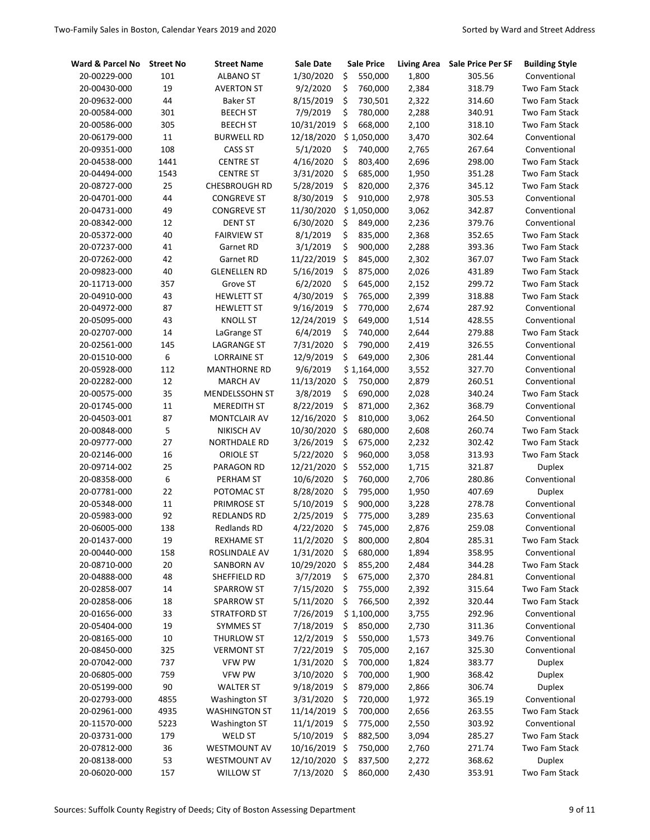| Ward & Parcel No | <b>Street No</b> | <b>Street Name</b>    | Sale Date     |      | <b>Sale Price</b> | <b>Living Area</b> | Sale Price Per SF | <b>Building Style</b> |
|------------------|------------------|-----------------------|---------------|------|-------------------|--------------------|-------------------|-----------------------|
| 20-00229-000     | 101              | <b>ALBANO ST</b>      | 1/30/2020     | \$   | 550,000           | 1,800              | 305.56            | Conventional          |
| 20-00430-000     | 19               | <b>AVERTON ST</b>     | 9/2/2020      | \$   | 760,000           | 2,384              | 318.79            | Two Fam Stack         |
| 20-09632-000     | 44               | <b>Baker ST</b>       | 8/15/2019     | \$   | 730,501           | 2,322              | 314.60            | Two Fam Stack         |
| 20-00584-000     | 301              | <b>BEECH ST</b>       | 7/9/2019      | \$   | 780,000           | 2,288              | 340.91            | Two Fam Stack         |
| 20-00586-000     | 305              | <b>BEECH ST</b>       | 10/31/2019    | \$   | 668,000           | 2,100              | 318.10            | Two Fam Stack         |
| 20-06179-000     | 11               | <b>BURWELL RD</b>     | 12/18/2020    |      | \$1,050,000       | 3,470              | 302.64            | Conventional          |
| 20-09351-000     | 108              | <b>CASS ST</b>        | 5/1/2020      | \$   | 740,000           | 2,765              | 267.64            | Conventional          |
| 20-04538-000     | 1441             | <b>CENTRE ST</b>      | 4/16/2020     | \$   | 803,400           | 2,696              | 298.00            | Two Fam Stack         |
| 20-04494-000     | 1543             | <b>CENTRE ST</b>      | 3/31/2020     | \$   | 685,000           | 1,950              | 351.28            | <b>Two Fam Stack</b>  |
| 20-08727-000     | 25               | CHESBROUGH RD         | 5/28/2019     | \$   | 820,000           | 2,376              | 345.12            | Two Fam Stack         |
| 20-04701-000     | 44               | <b>CONGREVE ST</b>    | 8/30/2019     | \$   | 910,000           | 2,978              | 305.53            | Conventional          |
| 20-04731-000     | 49               | <b>CONGREVE ST</b>    | 11/30/2020    |      | \$1,050,000       | 3,062              | 342.87            | Conventional          |
| 20-08342-000     | 12               | <b>DENT ST</b>        | 6/30/2020     | \$   | 849,000           | 2,236              | 379.76            | Conventional          |
| 20-05372-000     | 40               | <b>FAIRVIEW ST</b>    | 8/1/2019      | \$   | 835,000           | 2,368              | 352.65            | Two Fam Stack         |
| 20-07237-000     | 41               | Garnet RD             | 3/1/2019      | \$   | 900,000           | 2,288              | 393.36            | Two Fam Stack         |
| 20-07262-000     | 42               | Garnet RD             | 11/22/2019    | \$   | 845,000           | 2,302              | 367.07            | Two Fam Stack         |
| 20-09823-000     | 40               | <b>GLENELLEN RD</b>   | 5/16/2019     | \$   | 875,000           | 2,026              | 431.89            | Two Fam Stack         |
| 20-11713-000     | 357              | Grove ST              | 6/2/2020      | \$   | 645,000           | 2,152              | 299.72            | Two Fam Stack         |
| 20-04910-000     | 43               | <b>HEWLETT ST</b>     | 4/30/2019     | \$   | 765,000           | 2,399              | 318.88            | Two Fam Stack         |
| 20-04972-000     | 87               | <b>HEWLETT ST</b>     | 9/16/2019     | \$   | 770,000           | 2,674              | 287.92            | Conventional          |
| 20-05095-000     | 43               | <b>KNOLL ST</b>       | 12/24/2019    | \$   | 649,000           | 1,514              | 428.55            | Conventional          |
| 20-02707-000     | 14               | LaGrange ST           | 6/4/2019      | \$   | 740,000           | 2,644              | 279.88            | Two Fam Stack         |
| 20-02561-000     | 145              | <b>LAGRANGE ST</b>    | 7/31/2020     | \$   | 790,000           | 2,419              | 326.55            | Conventional          |
| 20-01510-000     | 6                | <b>LORRAINE ST</b>    | 12/9/2019     | \$   | 649,000           | 2,306              | 281.44            | Conventional          |
| 20-05928-000     | 112              | <b>MANTHORNE RD</b>   | 9/6/2019      |      | \$1,164,000       | 3,552              | 327.70            | Conventional          |
| 20-02282-000     | 12               | <b>MARCH AV</b>       | 11/13/2020    | \$   | 750,000           | 2,879              | 260.51            | Conventional          |
| 20-00575-000     | 35               | <b>MENDELSSOHN ST</b> | 3/8/2019      | \$   | 690,000           | 2,028              | 340.24            | Two Fam Stack         |
| 20-01745-000     | 11               | <b>MEREDITH ST</b>    | 8/22/2019     | \$   | 871,000           | 2,362              | 368.79            | Conventional          |
| 20-04503-001     | 87               | MONTCLAIR AV          | 12/16/2020    | \$   | 810,000           | 3,062              | 264.50            | Conventional          |
| 20-00848-000     | 5                | <b>NIKISCH AV</b>     | 10/30/2020    | \$   | 680,000           | 2,608              | 260.74            | Two Fam Stack         |
| 20-09777-000     | 27               | NORTHDALE RD          | 3/26/2019     | \$   | 675,000           | 2,232              | 302.42            | Two Fam Stack         |
| 20-02146-000     | 16               | <b>ORIOLE ST</b>      | 5/22/2020     | \$   | 960,000           | 3,058              | 313.93            | Two Fam Stack         |
| 20-09714-002     | 25               | PARAGON RD            | 12/21/2020    | \$   | 552,000           | 1,715              | 321.87            | <b>Duplex</b>         |
| 20-08358-000     | 6                | PERHAM ST             | 10/6/2020     | \$   | 760,000           | 2,706              | 280.86            | Conventional          |
| 20-07781-000     | 22               | POTOMAC ST            | 8/28/2020     | \$   | 795,000           | 1,950              | 407.69            | <b>Duplex</b>         |
| 20-05348-000     | $11\,$           | PRIMROSE ST           | 5/10/2019     | \$   | 900,000           | 3,228              | 278.78            | Conventional          |
| 20-05983-000     | 92               | REDLANDS RD           | 2/25/2019     | \$   | 775,000           | 3,289              | 235.63            | Conventional          |
| 20-06005-000     | 138              | <b>Redlands RD</b>    | 4/22/2020     | \$   | 745,000           | 2,876              | 259.08            | Conventional          |
| 20-01437-000     | 19               | <b>REXHAME ST</b>     | 11/2/2020     | \$   | 800,000           | 2,804              | 285.31            | Two Fam Stack         |
| 20-00440-000     | 158              | ROSLINDALE AV         | 1/31/2020     | \$   | 680,000           | 1,894              | 358.95            | Conventional          |
| 20-08710-000     | 20               | SANBORN AV            | 10/29/2020    | \$   | 855,200           | 2,484              | 344.28            | Two Fam Stack         |
| 20-04888-000     | 48               | SHEFFIELD RD          | 3/7/2019      | \$   | 675,000           | 2,370              | 284.81            | Conventional          |
| 20-02858-007     | 14               | SPARROW ST            | 7/15/2020     | \$   | 755,000           | 2,392              | 315.64            | Two Fam Stack         |
| 20-02858-006     | 18               | SPARROW ST            | 5/11/2020     | \$   | 766,500           | 2,392              | 320.44            | Two Fam Stack         |
| 20-01656-000     | 33               | <b>STRATFORD ST</b>   | 7/26/2019     |      | \$1,100,000       | 3,755              | 292.96            | Conventional          |
| 20-05404-000     | 19               | SYMMES ST             | 7/18/2019     | \$   | 850,000           | 2,730              | 311.36            | Conventional          |
| 20-08165-000     | 10               | <b>THURLOW ST</b>     | 12/2/2019     | \$   | 550,000           | 1,573              | 349.76            | Conventional          |
| 20-08450-000     | 325              | <b>VERMONT ST</b>     | 7/22/2019     | \$   | 705,000           | 2,167              | 325.30            | Conventional          |
| 20-07042-000     | 737              | <b>VFW PW</b>         | 1/31/2020     | \$   | 700,000           | 1,824              | 383.77            | <b>Duplex</b>         |
| 20-06805-000     | 759              | <b>VFW PW</b>         | 3/10/2020     | \$   | 700,000           | 1,900              | 368.42            | <b>Duplex</b>         |
| 20-05199-000     | 90               | <b>WALTER ST</b>      | 9/18/2019     | \$   | 879,000           | 2,866              | 306.74            | <b>Duplex</b>         |
| 20-02793-000     | 4855             | Washington ST         | 3/31/2020     | \$   | 720,000           | 1,972              | 365.19            | Conventional          |
| 20-02961-000     | 4935             | <b>WASHINGTON ST</b>  | 11/14/2019    | \$   | 700,000           | 2,656              | 263.55            | Two Fam Stack         |
| 20-11570-000     | 5223             | <b>Washington ST</b>  | 11/1/2019     | \$   | 775,000           | 2,550              | 303.92            | Conventional          |
| 20-03731-000     | 179              | <b>WELD ST</b>        | 5/10/2019     | \$   | 882,500           | 3,094              | 285.27            | Two Fam Stack         |
| 20-07812-000     | 36               | <b>WESTMOUNT AV</b>   | 10/16/2019    | \$   | 750,000           | 2,760              | 271.74            | Two Fam Stack         |
| 20-08138-000     | 53               | <b>WESTMOUNT AV</b>   | 12/10/2020 \$ |      | 837,500           | 2,272              | 368.62            | <b>Duplex</b>         |
| 20-06020-000     | 157              | <b>WILLOW ST</b>      | 7/13/2020     | - \$ | 860,000           | 2,430              | 353.91            | Two Fam Stack         |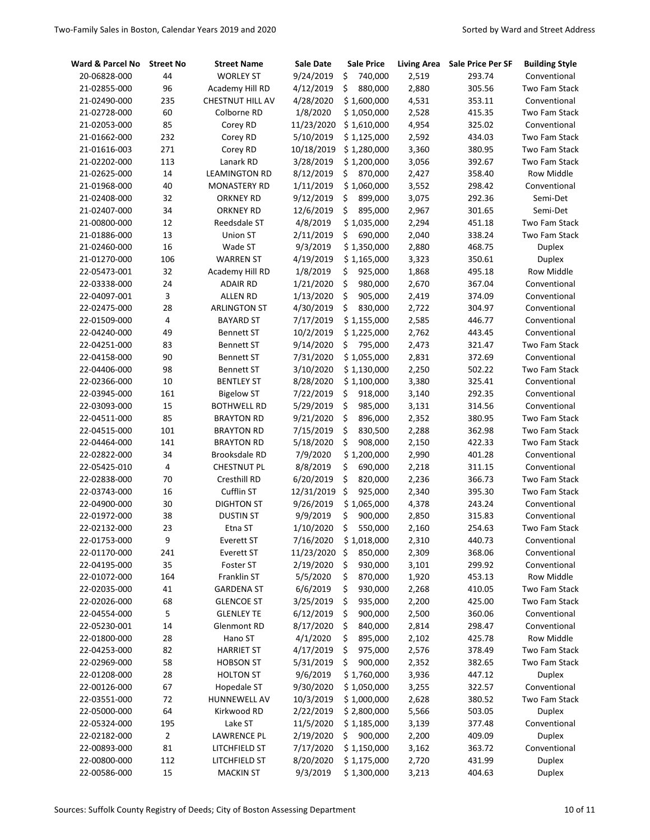| Ward & Parcel No | <b>Street No</b> | <b>Street Name</b>   | Sale Date  | <b>Sale Price</b> | <b>Living Area</b> | Sale Price Per SF | <b>Building Style</b> |
|------------------|------------------|----------------------|------------|-------------------|--------------------|-------------------|-----------------------|
| 20-06828-000     | 44               | <b>WORLEY ST</b>     | 9/24/2019  | \$<br>740,000     | 2,519              | 293.74            | Conventional          |
| 21-02855-000     | 96               | Academy Hill RD      | 4/12/2019  | \$<br>880,000     | 2,880              | 305.56            | Two Fam Stack         |
| 21-02490-000     | 235              | CHESTNUT HILL AV     | 4/28/2020  | \$1,600,000       | 4,531              | 353.11            | Conventional          |
| 21-02728-000     | 60               | Colborne RD          | 1/8/2020   | \$1,050,000       | 2,528              | 415.35            | Two Fam Stack         |
| 21-02053-000     | 85               | Corey RD             | 11/23/2020 | \$1,610,000       | 4,954              | 325.02            | Conventional          |
| 21-01662-000     | 232              | Corey RD             | 5/10/2019  | \$1,125,000       | 2,592              | 434.03            | Two Fam Stack         |
| 21-01616-003     | 271              | Corey RD             | 10/18/2019 | \$1,280,000       | 3,360              | 380.95            | Two Fam Stack         |
| 21-02202-000     | 113              | Lanark RD            | 3/28/2019  | \$1,200,000       | 3,056              | 392.67            | Two Fam Stack         |
| 21-02625-000     | 14               | <b>LEAMINGTON RD</b> | 8/12/2019  | \$<br>870,000     | 2,427              | 358.40            | Row Middle            |
| 21-01968-000     | 40               | <b>MONASTERY RD</b>  | 1/11/2019  | \$1,060,000       | 3,552              | 298.42            | Conventional          |
| 21-02408-000     | 32               | <b>ORKNEY RD</b>     | 9/12/2019  | \$<br>899,000     | 3,075              | 292.36            | Semi-Det              |
| 21-02407-000     | 34               | <b>ORKNEY RD</b>     | 12/6/2019  | \$<br>895,000     | 2,967              | 301.65            | Semi-Det              |
| 21-00800-000     | 12               | Reedsdale ST         | 4/8/2019   | \$1,035,000       | 2,294              | 451.18            | Two Fam Stack         |
| 21-01886-000     | 13               | <b>Union ST</b>      | 2/11/2019  | \$<br>690,000     | 2,040              | 338.24            | Two Fam Stack         |
| 21-02460-000     | 16               | Wade ST              | 9/3/2019   | \$1,350,000       | 2,880              | 468.75            | <b>Duplex</b>         |
| 21-01270-000     | 106              | <b>WARREN ST</b>     | 4/19/2019  | \$1,165,000       | 3,323              | 350.61            | <b>Duplex</b>         |
| 22-05473-001     | 32               | Academy Hill RD      | 1/8/2019   | \$<br>925,000     | 1,868              | 495.18            | Row Middle            |
| 22-03338-000     | 24               | <b>ADAIR RD</b>      | 1/21/2020  | \$<br>980,000     | 2,670              | 367.04            | Conventional          |
| 22-04097-001     | 3                | <b>ALLEN RD</b>      | 1/13/2020  | \$<br>905,000     | 2,419              | 374.09            | Conventional          |
| 22-02475-000     | 28               | <b>ARLINGTON ST</b>  | 4/30/2019  | \$<br>830,000     | 2,722              | 304.97            | Conventional          |
| 22-01509-000     | 4                | <b>BAYARD ST</b>     | 7/17/2019  | \$1,155,000       | 2,585              | 446.77            | Conventional          |
| 22-04240-000     | 49               | <b>Bennett ST</b>    | 10/2/2019  | \$1,225,000       | 2,762              | 443.45            | Conventional          |
| 22-04251-000     | 83               | <b>Bennett ST</b>    | 9/14/2020  | \$<br>795,000     | 2,473              | 321.47            | Two Fam Stack         |
| 22-04158-000     | 90               | <b>Bennett ST</b>    | 7/31/2020  | \$1,055,000       | 2,831              | 372.69            | Conventional          |
| 22-04406-000     | 98               | <b>Bennett ST</b>    | 3/10/2020  | \$1,130,000       | 2,250              | 502.22            | Two Fam Stack         |
| 22-02366-000     | 10               | <b>BENTLEY ST</b>    | 8/28/2020  | \$1,100,000       | 3,380              | 325.41            | Conventional          |
| 22-03945-000     | 161              | <b>Bigelow ST</b>    | 7/22/2019  | \$<br>918,000     | 3,140              | 292.35            | Conventional          |
| 22-03093-000     | 15               | <b>BOTHWELL RD</b>   | 5/29/2019  | \$<br>985,000     | 3,131              | 314.56            | Conventional          |
| 22-04511-000     | 85               | <b>BRAYTON RD</b>    | 9/21/2020  | \$<br>896,000     | 2,352              | 380.95            | Two Fam Stack         |
| 22-04515-000     | 101              | <b>BRAYTON RD</b>    | 7/15/2019  | \$<br>830,500     | 2,288              | 362.98            | Two Fam Stack         |
| 22-04464-000     | 141              | <b>BRAYTON RD</b>    | 5/18/2020  | \$<br>908,000     | 2,150              | 422.33            | Two Fam Stack         |
| 22-02822-000     | 34               | Brooksdale RD        | 7/9/2020   | \$1,200,000       | 2,990              | 401.28            | Conventional          |
| 22-05425-010     | 4                | <b>CHESTNUT PL</b>   | 8/8/2019   | \$<br>690,000     | 2,218              | 311.15            | Conventional          |
| 22-02838-000     | 70               | Cresthill RD         | 6/20/2019  | \$<br>820,000     | 2,236              | 366.73            | Two Fam Stack         |
| 22-03743-000     | 16               | Cufflin ST           | 12/31/2019 | \$<br>925,000     | 2,340              | 395.30            | Two Fam Stack         |
| 22-04900-000     | 30               | <b>DIGHTON ST</b>    | 9/26/2019  | \$1,065,000       | 4,378              | 243.24            | Conventional          |
| 22-01972-000     | 38               | <b>DUSTIN ST</b>     | 9/9/2019   | \$<br>900,000     | 2,850              | 315.83            | Conventional          |
| 22-02132-000     | 23               | Etna ST              | 1/10/2020  | \$<br>550,000     | 2,160              | 254.63            | Two Fam Stack         |
| 22-01753-000     | 9                | <b>Everett ST</b>    | 7/16/2020  | \$1,018,000       | 2,310              | 440.73            | Conventional          |
| 22-01170-000     | 241              | Everett ST           | 11/23/2020 | \$<br>850,000     | 2,309              | 368.06            | Conventional          |
| 22-04195-000     | 35               | Foster ST            | 2/19/2020  | \$<br>930,000     | 3,101              | 299.92            | Conventional          |
| 22-01072-000     | 164              | Franklin ST          | 5/5/2020   | \$<br>870,000     | 1,920              | 453.13            | Row Middle            |
| 22-02035-000     | 41               | <b>GARDENA ST</b>    | 6/6/2019   | \$<br>930,000     | 2,268              | 410.05            | Two Fam Stack         |
| 22-02026-000     | 68               | <b>GLENCOE ST</b>    | 3/25/2019  | \$<br>935,000     | 2,200              | 425.00            | Two Fam Stack         |
| 22-04554-000     | 5                | <b>GLENLEY TE</b>    | 6/12/2019  | \$<br>900,000     | 2,500              | 360.06            | Conventional          |
| 22-05230-001     | 14               | Glenmont RD          | 8/17/2020  | \$<br>840,000     | 2,814              | 298.47            | Conventional          |
| 22-01800-000     | 28               | Hano ST              | 4/1/2020   | \$<br>895,000     | 2,102              | 425.78            | <b>Row Middle</b>     |
| 22-04253-000     | 82               | <b>HARRIET ST</b>    | 4/17/2019  | \$<br>975,000     | 2,576              | 378.49            | Two Fam Stack         |
| 22-02969-000     | 58               | <b>HOBSON ST</b>     | 5/31/2019  | \$<br>900,000     | 2,352              | 382.65            | Two Fam Stack         |
| 22-01208-000     | 28               | <b>HOLTON ST</b>     | 9/6/2019   | \$1,760,000       | 3,936              | 447.12            | <b>Duplex</b>         |
| 22-00126-000     | 67               | Hopedale ST          | 9/30/2020  | \$1,050,000       | 3,255              | 322.57            | Conventional          |
| 22-03551-000     | 72               | HUNNEWELL AV         | 10/3/2019  | \$1,000,000       | 2,628              | 380.52            | Two Fam Stack         |
| 22-05000-000     | 64               | Kirkwood RD          | 2/22/2019  | \$2,800,000       | 5,566              | 503.05            | <b>Duplex</b>         |
| 22-05324-000     | 195              | Lake ST              | 11/5/2020  | \$1,185,000       | 3,139              | 377.48            | Conventional          |
| 22-02182-000     | $\mathbf 2$      | LAWRENCE PL          | 2/19/2020  | \$<br>900,000     | 2,200              | 409.09            | Duplex                |
| 22-00893-000     | 81               | LITCHFIELD ST        | 7/17/2020  | \$1,150,000       | 3,162              | 363.72            | Conventional          |
| 22-00800-000     | 112              | LITCHFIELD ST        | 8/20/2020  | \$1,175,000       | 2,720              | 431.99            | <b>Duplex</b>         |
| 22-00586-000     | 15               | <b>MACKIN ST</b>     | 9/3/2019   | \$1,300,000       | 3,213              | 404.63            | <b>Duplex</b>         |